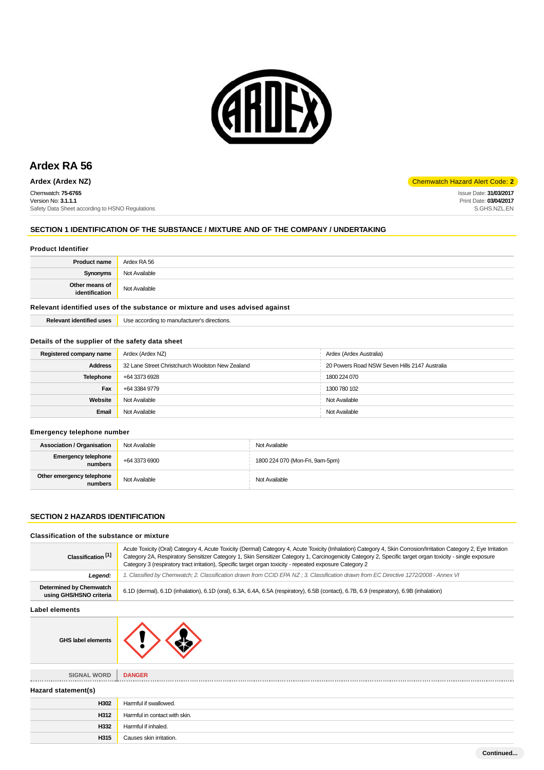

# **Ardex RA 56**

**Ardex (Ardex NZ)** Chemwatch Hazard Alert Code: 2

Chemwatch: **75-6765** Version No: **3.1.1.1** Safety Data Sheet according to HSNO Regulations

# **SECTION 1 IDENTIFICATION OF THE SUBSTANCE / MIXTURE AND OF THE COMPANY / UNDERTAKING**

### **Product Identifier**

| <b>Product name</b>              | Ardex RA 56   |
|----------------------------------|---------------|
| Synonyms                         | Not Available |
| Other means of<br>identification | Not Available |

# **Relevant identified uses of the substance or mixture and uses advised against**

**Relevant identified uses** Use according to manufacturer's directions.

### **Details of the supplier of the safety data sheet**

| Registered company name | Ardex (Ardex NZ)                                 | Ardex (Ardex Australia)                       |
|-------------------------|--------------------------------------------------|-----------------------------------------------|
| <b>Address</b>          | 32 Lane Street Christchurch Woolston New Zealand | 20 Powers Road NSW Seven Hills 2147 Australia |
| Telephone               | +64 3373 6928                                    | 1800 224 070                                  |
| Fax                     | +64 3384 9779                                    | 1300 780 102                                  |
| Website                 | Not Available                                    | Not Available                                 |
| Email                   | Not Available                                    | Not Available                                 |

### **Emergency telephone number**

| <b>Association / Organisation</b>       | Not Available | Not Available                   |
|-----------------------------------------|---------------|---------------------------------|
| <b>Emergency telephone</b><br>numbers . | +64 3373 6900 | 1800 224 070 (Mon-Fri, 9am-5pm) |
| Other emergency telephone<br>numbers    | Not Available | Not Available                   |

# **SECTION 2 HAZARDS IDENTIFICATION**

# **Classification of the substance or mixture**

| Classification <sup>[1]</sup>                             | Acute Toxicity (Oral) Category 4, Acute Toxicity (Dermal) Category 4, Acute Toxicity (Inhalation) Category 4, Skin Corrosion/Irritation Category 2, Eye Irritation<br>Category 2A, Respiratory Sensitizer Category 1, Skin Sensitizer Category 1, Carcinogenicity Category 2, Specific target organ toxicity - single exposure<br>Category 3 (respiratory tract irritation), Specific target organ toxicity - repeated exposure Category 2 |  |
|-----------------------------------------------------------|--------------------------------------------------------------------------------------------------------------------------------------------------------------------------------------------------------------------------------------------------------------------------------------------------------------------------------------------------------------------------------------------------------------------------------------------|--|
| Legend:                                                   | 1. Classified by Chemwatch; 2. Classification drawn from CCID EPA NZ; 3. Classification drawn from EC Directive 1272/2008 - Annex VI                                                                                                                                                                                                                                                                                                       |  |
| <b>Determined by Chemwatch</b><br>using GHS/HSNO criteria | 6.1D (dermal), 6.1D (inhalation), 6.1D (oral), 6.3A, 6.4A, 6.5A (respiratory), 6.5B (contact), 6.7B, 6.9 (respiratory), 6.9B (inhalation)                                                                                                                                                                                                                                                                                                  |  |
| Label elements                                            |                                                                                                                                                                                                                                                                                                                                                                                                                                            |  |
| <b>GHS label elements</b>                                 |                                                                                                                                                                                                                                                                                                                                                                                                                                            |  |
| SIGNAL WORD                                               | <b>DANGER</b>                                                                                                                                                                                                                                                                                                                                                                                                                              |  |
| Hazard statement(s)                                       |                                                                                                                                                                                                                                                                                                                                                                                                                                            |  |
| H302                                                      | Harmful if swallowed.                                                                                                                                                                                                                                                                                                                                                                                                                      |  |
| H312                                                      | Harmful in contact with skin.                                                                                                                                                                                                                                                                                                                                                                                                              |  |
| H332                                                      | Harmful if inhaled.                                                                                                                                                                                                                                                                                                                                                                                                                        |  |
| H315                                                      | Causes skin irritation.                                                                                                                                                                                                                                                                                                                                                                                                                    |  |
|                                                           |                                                                                                                                                                                                                                                                                                                                                                                                                                            |  |

Issue Date: **31/03/2017** Print Date: **03/04/2017** S.GHS.NZL.EN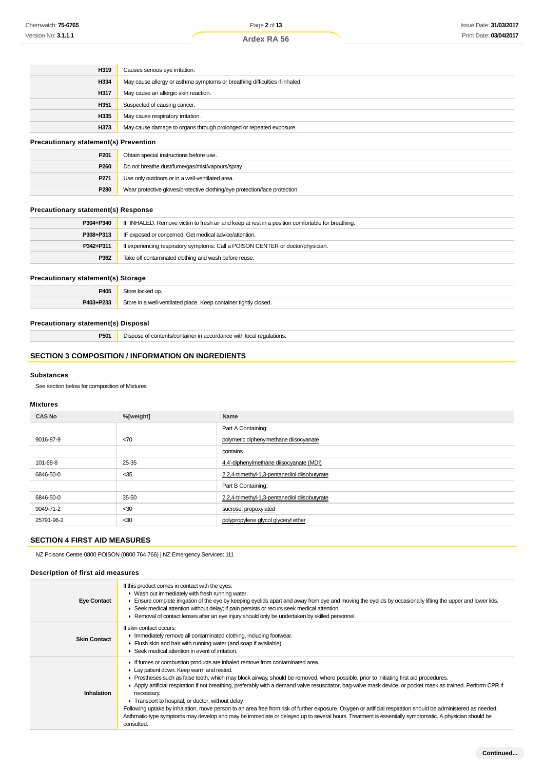| H319                                         | Causes serious eye irritation.                                             |
|----------------------------------------------|----------------------------------------------------------------------------|
| H334                                         | May cause allergy or asthma symptoms or breathing difficulties if inhaled. |
| H317                                         | May cause an allergic skin reaction.                                       |
| H351                                         | Suspected of causing cancer.                                               |
| H335                                         | May cause respiratory irritation.                                          |
| H373                                         | May cause damage to organs through prolonged or repeated exposure.         |
| <b>Precautionary statement(s) Prevention</b> |                                                                            |
| P <sub>201</sub>                             | Obtain special instructions before use.                                    |
| P <sub>260</sub>                             | Do not breathe dust/fume/gas/mist/vapours/spray.                           |

| <b>Precautionary statement(s) Response</b> |  |  |
|--------------------------------------------|--|--|
|--------------------------------------------|--|--|

| P304+P340 | IF INHALED: Remove victim to fresh air and keep at rest in a position comfortable for breathing. |
|-----------|--------------------------------------------------------------------------------------------------|
| P308+P313 | IF exposed or concerned: Get medical advice/attention.                                           |
| P342+P311 | If experiencing respiratory symptoms: Call a POISON CENTER or doctor/physician.                  |
| P362      | Take off contaminated clothing and wash before reuse.                                            |

# **Precautionary statement(s) Storage**

| P405      | Store locked up.                                                 |
|-----------|------------------------------------------------------------------|
| P403+P233 | Store in a well-ventilated place. Keep container tightly closed. |

### **Precautionary statement(s) Disposal**

**P501** Dispose of contents/container in accordance with local regulations.

# **SECTION 3 COMPOSITION / INFORMATION ON INGREDIENTS**

**P271** Use only outdoors or in a well-ventilated area.

**P280** Wear protective gloves/protective clothing/eye protection/face protection.

### **Substances**

See section below for composition of Mixtures

# **Mixtures**

| <b>CAS No</b> | %[weight] | Name                                          |
|---------------|-----------|-----------------------------------------------|
|               |           | Part A Containing:                            |
| 9016-87-9     | <70       | polymeric diphenylmethane diisocyanate        |
|               |           | contains                                      |
| 101-68-8      | 25-35     | 4,4'-diphenylmethane diisocyanate (MDI)       |
| 6846-50-0     | $<$ 35    | 2,2,4-trimethyl-1,3-pentanediol diisobutyrate |
|               |           | Part B Containing:                            |
| 6846-50-0     | 35-50     | 2,2,4-trimethyl-1,3-pentanediol diisobutyrate |
| 9049-71-2     | $30$      | sucrose, propoxylated                         |
| 25791-96-2    | $30$      | polypropylene glycol glyceryl ether           |

# **SECTION 4 FIRST AID MEASURES**

NZ Poisons Centre 0800 POISON (0800 764 766) | NZ Emergency Services: 111

# **Description of first aid measures**

| <b>Eye Contact</b>  | If this product comes in contact with the eyes:<br>• Wash out immediately with fresh running water.<br>Ensure complete irrigation of the eye by keeping eyelids apart and away from eye and moving the eyelids by occasionally lifting the upper and lower lids.<br>► Seek medical attention without delay; if pain persists or recurs seek medical attention.<br>► Removal of contact lenses after an eye injury should only be undertaken by skilled personnel.                                                                                                                                                                                                                                                                                                                                                                        |
|---------------------|------------------------------------------------------------------------------------------------------------------------------------------------------------------------------------------------------------------------------------------------------------------------------------------------------------------------------------------------------------------------------------------------------------------------------------------------------------------------------------------------------------------------------------------------------------------------------------------------------------------------------------------------------------------------------------------------------------------------------------------------------------------------------------------------------------------------------------------|
| <b>Skin Contact</b> | If skin contact occurs:<br>In mediately remove all contaminated clothing, including footwear.<br>Flush skin and hair with running water (and soap if available).<br>$\blacktriangleright$ Seek medical attention in event of irritation.                                                                                                                                                                                                                                                                                                                                                                                                                                                                                                                                                                                                 |
| Inhalation          | If fumes or combustion products are inhaled remove from contaminated area.<br>Lay patient down. Keep warm and rested.<br>► Prostheses such as false teeth, which may block airway, should be removed, where possible, prior to initiating first aid procedures.<br>Apply artificial respiration if not breathing, preferably with a demand valve resuscitator, bag-valve mask device, or pocket mask as trained. Perform CPR if<br>necessary.<br>Transport to hospital, or doctor, without delay.<br>Following uptake by inhalation, move person to an area free from risk of further exposure. Oxygen or artificial respiration should be administered as needed.<br>Asthmatic-type symptoms may develop and may be immediate or delayed up to several hours. Treatment is essentially symptomatic. A physician should be<br>consulted. |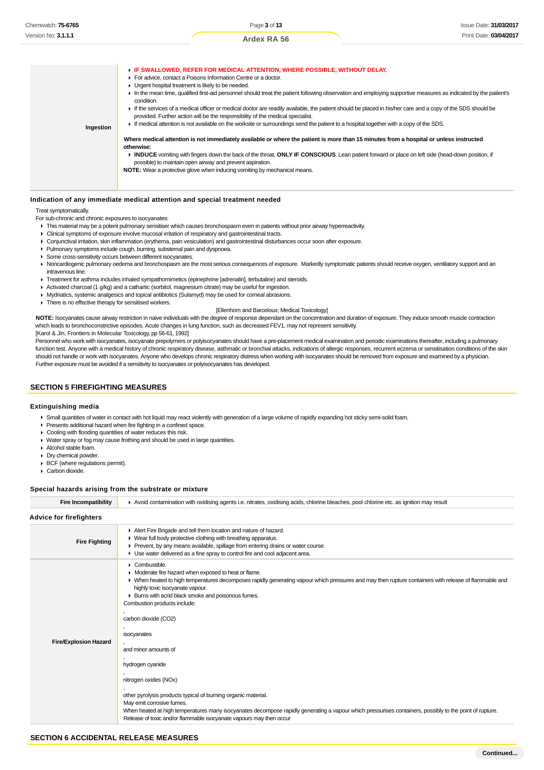|           | F IF SWALLOWED, REFER FOR MEDICAL ATTENTION, WHERE POSSIBLE, WITHOUT DELAY.<br>For advice, contact a Poisons Information Centre or a doctor.<br>• Urgent hospital treatment is likely to be needed.<br>In the mean time, qualified first-aid personnel should treat the patient following observation and employing supportive measures as indicated by the patient's<br>condition.<br>If the services of a medical officer or medical doctor are readily available, the patient should be placed in his/her care and a copy of the SDS should be<br>provided. Further action will be the responsibility of the medical specialist.<br>► If medical attention is not available on the worksite or surroundings send the patient to a hospital together with a copy of the SDS. |
|-----------|--------------------------------------------------------------------------------------------------------------------------------------------------------------------------------------------------------------------------------------------------------------------------------------------------------------------------------------------------------------------------------------------------------------------------------------------------------------------------------------------------------------------------------------------------------------------------------------------------------------------------------------------------------------------------------------------------------------------------------------------------------------------------------|
| Ingestion | Where medical attention is not immediately available or where the patient is more than 15 minutes from a hospital or unless instructed<br>otherwise:<br>INDUCE vomiting with fingers down the back of the throat, ONLY IF CONSCIOUS. Lean patient forward or place on left side (head-down position, if<br>possible) to maintain open airway and prevent aspiration.<br><b>NOTE:</b> Wear a protective glove when inducing vomiting by mechanical means.                                                                                                                                                                                                                                                                                                                       |

### **Indication of any immediate medical attention and special treatment needed**

Treat symptomatically.

- For sub-chronic and chronic exposures to isocyanates:
- This material may be a potent pulmonary sensitiser which causes bronchospasm even in patients without prior airway hyperreactivity.
- Clinical symptoms of exposure involve mucosal irritation of respiratory and gastrointestinal tracts.
- Conjunctival irritation, skin inflammation (erythema, pain vesiculation) and gastrointestinal disturbances occur soon after exposure.
- Pulmonary symptoms include cough, burning, substernal pain and dyspnoea.
- Some cross-sensitivity occurs between different isocyanates.
- ▶ Noncardiogenic pulmonary oedema and bronchospasm are the most serious consequences of exposure. Markedly symptomatic patients should receive oxygen, ventilatory support and an intravenous line.
- Freatment for asthma includes inhaled sympathomimetics (epinephrine [adrenalin], terbutaline) and steroids.
- Activated charcoal (1 g/kg) and a cathartic (sorbitol, magnesium citrate) may be useful for ingestion.
- Mydriatics, systemic analgesics and topical antibiotics (Sulamyd) may be used for corneal abrasions.
- **F** There is no effective therapy for sensitised workers.

#### [Ellenhorn and Barceloux; Medical Toxicology]

**NOTE:** Isocyanates cause airway restriction in naive individuals with the degree of response dependant on the concentration and duration of exposure. They induce smooth muscle contraction which leads to bronchoconstrictive episodes. Acute changes in lung function, such as decreased FEV1, may not represent sensitivity. [Karol & Jin, Frontiers in Molecular Toxicology, pp 56-61, 1992]

Personnel who work with isocyanates, isocyanate prepolymers or polyisocyanates should have a pre-placement medical examination and periodic examinations thereafter, including a pulmonary function test. Anyone with a medical history of chronic respiratory disease, asthmatic or bronchial attacks, indications of allergic responses, recurrent eczema or sensitisation conditions of the skin should not handle or work with isocyanates. Anyone who develops chronic respiratory distress when working with isocyanates should be removed from exposure and examined by a physician. Further exposure must be avoided if a sensitivity to isocyanates or polyisocyanates has developed.

### **SECTION 5 FIREFIGHTING MEASURES**

### **Extinguishing media**

- Small quantities of water in contact with hot liquid may react violently with generation of a large volume of rapidly expanding hot sticky semi-solid foam.
- Presents additional hazard when fire fighting in a confined space.
- Cooling with flooding quantities of water reduces this risk.
- Water spray or fog may cause frothing and should be used in large quantities.
- Alcohol stable foam.
- **Dry chemical powder.**
- BCF (where regulations permit).
- Carbon dioxide.

#### **Special hazards arising from the substrate or mixture**

| <b>Fire Incompatibility</b>    | Avoid contamination with oxidising agents i.e. nitrates, oxidising acids, chlorine bleaches, pool chlorine etc. as ignition may result                                                                                                                                                                                                                                                                                                                                                                                                                                                                                                                                                                                                                                                                                |
|--------------------------------|-----------------------------------------------------------------------------------------------------------------------------------------------------------------------------------------------------------------------------------------------------------------------------------------------------------------------------------------------------------------------------------------------------------------------------------------------------------------------------------------------------------------------------------------------------------------------------------------------------------------------------------------------------------------------------------------------------------------------------------------------------------------------------------------------------------------------|
| <b>Advice for firefighters</b> |                                                                                                                                                                                                                                                                                                                                                                                                                                                                                                                                                                                                                                                                                                                                                                                                                       |
| <b>Fire Fighting</b>           | Alert Fire Brigade and tell them location and nature of hazard.<br>• Wear full body protective clothing with breathing apparatus.<br>• Prevent, by any means available, spillage from entering drains or water course.<br>• Use water delivered as a fine spray to control fire and cool adjacent area.                                                                                                                                                                                                                                                                                                                                                                                                                                                                                                               |
| <b>Fire/Explosion Hazard</b>   | $\triangleright$ Combustible.<br>• Moderate fire hazard when exposed to heat or flame.<br>• When heated to high temperatures decomposes rapidly generating vapour which pressures and may then rupture containers with release of flammable and<br>highly toxic isocyanate vapour.<br>> Burns with acrid black smoke and poisonous fumes.<br>Combustion products include:<br>carbon dioxide (CO2)<br>isocyanates<br>and minor amounts of<br>hydrogen cyanide<br>nitrogen oxides (NOx)<br>other pyrolysis products typical of burning organic material.<br>May emit corrosive fumes.<br>When heated at high temperatures many isocyanates decompose rapidly generating a vapour which pressurises containers, possibly to the point of rupture.<br>Release of toxic and/or flammable isocyanate vapours may then occur |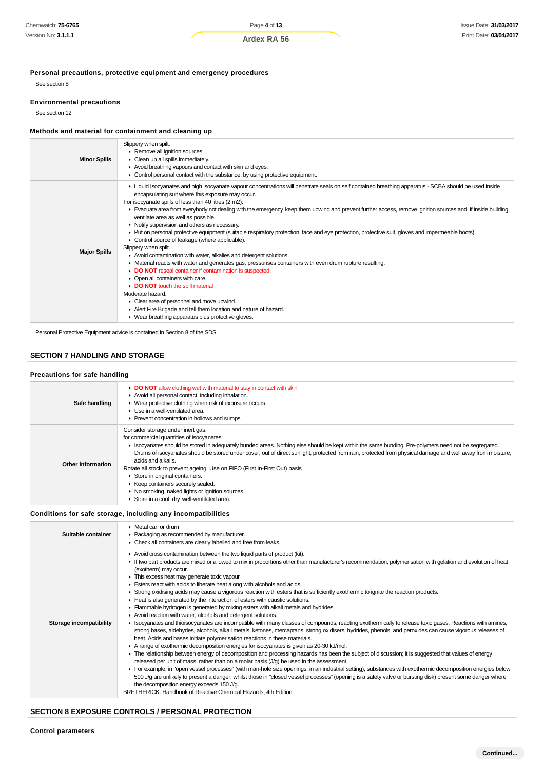**Personal precautions, protective equipment and emergency procedures**

See section 8

# **Environmental precautions**

See section 12

# **Methods and material for containment and cleaning up**

| <b>Minor Spills</b> | Slippery when spilt.<br>Remove all ignition sources.<br>• Clean up all spills immediately.<br>Avoid breathing vapours and contact with skin and eyes.<br>• Control personal contact with the substance, by using protective equipment.                                                                                                                                                                                                                                                                                                                                                                                                                                                                                                                                                                                                                                                                                                                                                                                                                                                                                                                                                                                                                              |
|---------------------|---------------------------------------------------------------------------------------------------------------------------------------------------------------------------------------------------------------------------------------------------------------------------------------------------------------------------------------------------------------------------------------------------------------------------------------------------------------------------------------------------------------------------------------------------------------------------------------------------------------------------------------------------------------------------------------------------------------------------------------------------------------------------------------------------------------------------------------------------------------------------------------------------------------------------------------------------------------------------------------------------------------------------------------------------------------------------------------------------------------------------------------------------------------------------------------------------------------------------------------------------------------------|
| <b>Major Spills</b> | ► Liquid Isocyanates and high isocyanate vapour concentrations will penetrate seals on self contained breathing apparatus - SCBA should be used inside<br>encapsulating suit where this exposure may occur.<br>For isocyanate spills of less than 40 litres (2 m2):<br>Evacuate area from everybody not dealing with the emergency, keep them upwind and prevent further access, remove ignition sources and, if inside building,<br>ventilate area as well as possible.<br>• Notify supervision and others as necessary.<br>• Put on personal protective equipment (suitable respiratory protection, face and eye protection, protective suit, gloves and impermeable boots).<br>Control source of leakage (where applicable).<br>Slippery when spilt.<br>Avoid contamination with water, alkalies and detergent solutions.<br>• Material reacts with water and generates gas, pressurises containers with even drum rupture resulting.<br>DO NOT reseal container if contamination is suspected.<br>• Open all containers with care.<br>DO NOT touch the spill material<br>Moderate hazard<br>• Clear area of personnel and move upwind.<br>Alert Fire Brigade and tell them location and nature of hazard.<br>• Wear breathing apparatus plus protective gloves. |

Personal Protective Equipment advice is contained in Section 8 of the SDS.

# **SECTION 7 HANDLING AND STORAGE**

# **Precautions for safe handling**

| Safe handling     | DO NOT allow clothing wet with material to stay in contact with skin<br>Avoid all personal contact, including inhalation.<br>• Wear protective clothing when risk of exposure occurs.<br>$\blacktriangleright$ Use in a well-ventilated area.<br>▶ Prevent concentration in hollows and sumps.                                                                                                                                                                                                                                                                                                                                                                                      |
|-------------------|-------------------------------------------------------------------------------------------------------------------------------------------------------------------------------------------------------------------------------------------------------------------------------------------------------------------------------------------------------------------------------------------------------------------------------------------------------------------------------------------------------------------------------------------------------------------------------------------------------------------------------------------------------------------------------------|
| Other information | Consider storage under inert gas.<br>for commercial quantities of isocyanates:<br>In Isocyanates should be stored in adequately bunded areas. Nothing else should be kept within the same bunding. Pre-polymers need not be segregated.<br>Drums of isocyanates should be stored under cover, out of direct sunlight, protected from rain, protected from physical damage and well away from moisture,<br>acids and alkalis.<br>Rotate all stock to prevent ageing. Use on FIFO (First In-First Out) basis<br>Store in original containers.<br>▶ Keep containers securely sealed.<br>▶ No smoking, naked lights or ignition sources.<br>Store in a cool, dry, well-ventilated area. |

# **Conditions for safe storage, including any incompatibilities**

| Suitable container      | $\triangleright$ Metal can or drum<br>• Packaging as recommended by manufacturer.<br>• Check all containers are clearly labelled and free from leaks.                                                                                                                                                                                                                                                                                                                                                                                                                                                                                                                                                                                                                                                                                                                                                                                                                                                                                                                                                                                                                                                                                                                                                                                                                                                                                                                                                                                                                                                                                                                                                                                                                                                                                                                                                                                                               |
|-------------------------|---------------------------------------------------------------------------------------------------------------------------------------------------------------------------------------------------------------------------------------------------------------------------------------------------------------------------------------------------------------------------------------------------------------------------------------------------------------------------------------------------------------------------------------------------------------------------------------------------------------------------------------------------------------------------------------------------------------------------------------------------------------------------------------------------------------------------------------------------------------------------------------------------------------------------------------------------------------------------------------------------------------------------------------------------------------------------------------------------------------------------------------------------------------------------------------------------------------------------------------------------------------------------------------------------------------------------------------------------------------------------------------------------------------------------------------------------------------------------------------------------------------------------------------------------------------------------------------------------------------------------------------------------------------------------------------------------------------------------------------------------------------------------------------------------------------------------------------------------------------------------------------------------------------------------------------------------------------------|
| Storage incompatibility | Avoid cross contamination between the two liquid parts of product (kit).<br>If two part products are mixed or allowed to mix in proportions other than manufacturer's recommendation, polymerisation with gelation and evolution of heat<br>(exotherm) may occur.<br>This excess heat may generate toxic vapour<br>Esters react with acids to liberate heat along with alcohols and acids.<br>► Strong oxidising acids may cause a vigorous reaction with esters that is sufficiently exothermic to ignite the reaction products.<br>Heat is also generated by the interaction of esters with caustic solutions.<br>Flammable hydrogen is generated by mixing esters with alkali metals and hydrides.<br>Avoid reaction with water, alcohols and detergent solutions.<br>► Isocyanates and thioisocyanates are incompatible with many classes of compounds, reacting exothermically to release toxic gases. Reactions with amines,<br>strong bases, aldehydes, alcohols, alkali metals, ketones, mercaptans, strong oxidisers, hydrides, phenols, and peroxides can cause vigorous releases of<br>heat. Acids and bases initiate polymerisation reactions in these materials.<br>A range of exothermic decomposition energies for isocyanates is given as 20-30 kJ/mol.<br>• The relationship between energy of decomposition and processing hazards has been the subject of discussion; it is suggested that values of energy<br>released per unit of mass, rather than on a molar basis (J/g) be used in the assessment.<br>For example, in "open vessel processes" (with man-hole size openings, in an industrial setting), substances with exothermic decomposition energies below<br>500 J/g are unlikely to present a danger, whilst those in "closed vessel processes" (opening is a safety valve or bursting disk) present some danger where<br>the decomposition energy exceeds 150 J/g.<br>BRETHERICK: Handbook of Reactive Chemical Hazards, 4th Edition |

# **SECTION 8 EXPOSURE CONTROLS / PERSONAL PROTECTION**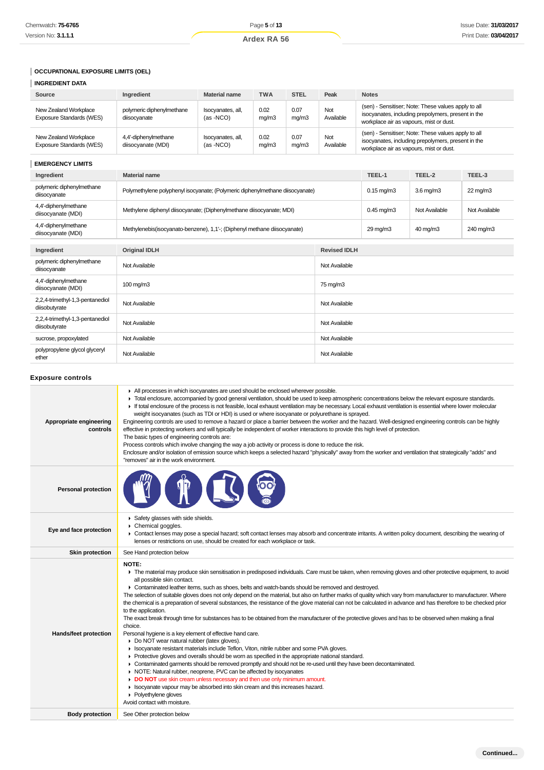# **OCCUPATIONAL EXPOSURE LIMITS (OEL)**

# **INGREDIENT DATA**

| INGREDIENT DAIA                                          |                                                                          |                                                                               |               |               |                     |                                                                                                                                                      |                |               |  |
|----------------------------------------------------------|--------------------------------------------------------------------------|-------------------------------------------------------------------------------|---------------|---------------|---------------------|------------------------------------------------------------------------------------------------------------------------------------------------------|----------------|---------------|--|
| Source                                                   | Ingredient<br><b>Material name</b><br><b>TWA</b><br><b>STEL</b><br>Peak  |                                                                               |               |               | <b>Notes</b>        |                                                                                                                                                      |                |               |  |
| New Zealand Workplace<br>Exposure Standards (WES)        | polymeric diphenylmethane<br>diisocyanate                                | Isocyanates, all,<br>$(as -NCO)$                                              | 0.02<br>mg/m3 | 0.07<br>mg/m3 | Not<br>Available    | (sen) - Sensitiser; Note: These values apply to all<br>isocyanates, including prepolymers, present in the<br>workplace air as vapours, mist or dust. |                |               |  |
| New Zealand Workplace<br><b>Exposure Standards (WES)</b> | 4,4'-diphenylmethane<br>diisocyanate (MDI)                               | Isocyanates, all,<br>(as -NCO)                                                | 0.02<br>mg/m3 | 0.07<br>mg/m3 | Not<br>Available    | (sen) - Sensitiser; Note: These values apply to all<br>isocyanates, including prepolymers, present in the<br>workplace air as vapours, mist or dust. |                |               |  |
| <b>EMERGENCY LIMITS</b>                                  |                                                                          |                                                                               |               |               |                     |                                                                                                                                                      |                |               |  |
| Ingredient                                               | <b>Material name</b>                                                     |                                                                               |               |               |                     | TEEL-1                                                                                                                                               | TEEL-2         | TEEL-3        |  |
| polymeric diphenylmethane<br>diisocyanate                |                                                                          | Polymethylene polyphenyl isocyanate; (Polymeric diphenylmethane diisocyanate) |               |               |                     | $0.15$ mg/m $3$                                                                                                                                      | $3.6$ mg/m $3$ | 22 mg/m3      |  |
| 4,4'-diphenylmethane<br>diisocyanate (MDI)               | Methylene diphenyl diisocyanate; (Diphenylmethane diisocyanate; MDI)     |                                                                               |               |               |                     | $0.45$ mg/m $3$                                                                                                                                      | Not Available  | Not Available |  |
| 4,4'-diphenylmethane<br>diisocyanate (MDI)               | Methylenebis(isocyanato-benzene), 1,1'-; (Diphenyl methane diisocyanate) |                                                                               |               |               |                     | 29 mg/m3                                                                                                                                             | 40 mg/m3       | 240 mg/m3     |  |
| Ingredient                                               | <b>Original IDLH</b>                                                     |                                                                               |               |               | <b>Revised IDLH</b> |                                                                                                                                                      |                |               |  |
| polymeric diphenylmethane<br>diisocyanate                | Not Available                                                            |                                                                               |               |               | Not Available       |                                                                                                                                                      |                |               |  |
| 4,4'-diphenylmethane<br>diisocyanate (MDI)               | 100 mg/m3                                                                |                                                                               |               |               |                     | 75 mg/m3                                                                                                                                             |                |               |  |
| 2,2,4-trimethyl-1,3-pentanediol<br>diisobutyrate         | Not Available                                                            |                                                                               |               |               | Not Available       |                                                                                                                                                      |                |               |  |
| 2,2,4-trimethyl-1,3-pentanediol<br>diisobutyrate         | Not Available                                                            |                                                                               |               |               | Not Available       |                                                                                                                                                      |                |               |  |
| sucrose, propoxylated                                    | Not Available                                                            |                                                                               |               | Not Available |                     |                                                                                                                                                      |                |               |  |
| polypropylene glycol glyceryl<br>ether                   | Not Available                                                            |                                                                               |               | Not Available |                     |                                                                                                                                                      |                |               |  |
| <b>Exposure controls</b>                                 |                                                                          |                                                                               |               |               |                     |                                                                                                                                                      |                |               |  |

| Appropriate engineering<br>controls | All processes in which isocyanates are used should be enclosed wherever possible.<br>• Total enclosure, accompanied by good general ventilation, should be used to keep atmospheric concentrations below the relevant exposure standards.<br>If total enclosure of the process is not feasible, local exhaust ventilation may be necessary. Local exhaust ventilation is essential where lower molecular<br>weight isocyanates (such as TDI or HDI) is used or where isocyanate or polyurethane is sprayed.<br>Engineering controls are used to remove a hazard or place a barrier between the worker and the hazard. Well-designed engineering controls can be highly<br>effective in protecting workers and will typically be independent of worker interactions to provide this high level of protection.<br>The basic types of engineering controls are:<br>Process controls which involve changing the way a job activity or process is done to reduce the risk.<br>Enclosure and/or isolation of emission source which keeps a selected hazard "physically" away from the worker and ventilation that strategically "adds" and<br>"removes" air in the work environment.                                                                                                                                                                                                                                                                                                                                                                                                        |
|-------------------------------------|---------------------------------------------------------------------------------------------------------------------------------------------------------------------------------------------------------------------------------------------------------------------------------------------------------------------------------------------------------------------------------------------------------------------------------------------------------------------------------------------------------------------------------------------------------------------------------------------------------------------------------------------------------------------------------------------------------------------------------------------------------------------------------------------------------------------------------------------------------------------------------------------------------------------------------------------------------------------------------------------------------------------------------------------------------------------------------------------------------------------------------------------------------------------------------------------------------------------------------------------------------------------------------------------------------------------------------------------------------------------------------------------------------------------------------------------------------------------------------------------------------------------------------------------------------------------------------------|
| <b>Personal protection</b>          |                                                                                                                                                                                                                                                                                                                                                                                                                                                                                                                                                                                                                                                                                                                                                                                                                                                                                                                                                                                                                                                                                                                                                                                                                                                                                                                                                                                                                                                                                                                                                                                       |
| Eye and face protection             | Safety glasses with side shields.<br>Chemical goggles.<br>• Contact lenses may pose a special hazard; soft contact lenses may absorb and concentrate irritants. A written policy document, describing the wearing of<br>lenses or restrictions on use, should be created for each workplace or task.                                                                                                                                                                                                                                                                                                                                                                                                                                                                                                                                                                                                                                                                                                                                                                                                                                                                                                                                                                                                                                                                                                                                                                                                                                                                                  |
| <b>Skin protection</b>              | See Hand protection below                                                                                                                                                                                                                                                                                                                                                                                                                                                                                                                                                                                                                                                                                                                                                                                                                                                                                                                                                                                                                                                                                                                                                                                                                                                                                                                                                                                                                                                                                                                                                             |
| Hands/feet protection               | <b>NOTE:</b><br>The material may produce skin sensitisation in predisposed individuals. Care must be taken, when removing gloves and other protective equipment, to avoid<br>all possible skin contact.<br>• Contaminated leather items, such as shoes, belts and watch-bands should be removed and destroyed.<br>The selection of suitable gloves does not only depend on the material, but also on further marks of quality which vary from manufacturer to manufacturer. Where<br>the chemical is a preparation of several substances, the resistance of the glove material can not be calculated in advance and has therefore to be checked prior<br>to the application.<br>The exact break through time for substances has to be obtained from the manufacturer of the protective gloves and has to be observed when making a final<br>choice.<br>Personal hygiene is a key element of effective hand care.<br>Do NOT wear natural rubber (latex gloves).<br>In Isocyanate resistant materials include Teflon, Viton, nitrile rubber and some PVA gloves.<br>▶ Protective gloves and overalls should be worn as specified in the appropriate national standard.<br>• Contaminated garments should be removed promptly and should not be re-used until they have been decontaminated.<br>• NOTE: Natural rubber, neoprene, PVC can be affected by isocyanates<br>DO NOT use skin cream unless necessary and then use only minimum amount.<br>Socyanate vapour may be absorbed into skin cream and this increases hazard.<br>• Polyethylene gloves<br>Avoid contact with moisture. |
| <b>Body protection</b>              | See Other protection below                                                                                                                                                                                                                                                                                                                                                                                                                                                                                                                                                                                                                                                                                                                                                                                                                                                                                                                                                                                                                                                                                                                                                                                                                                                                                                                                                                                                                                                                                                                                                            |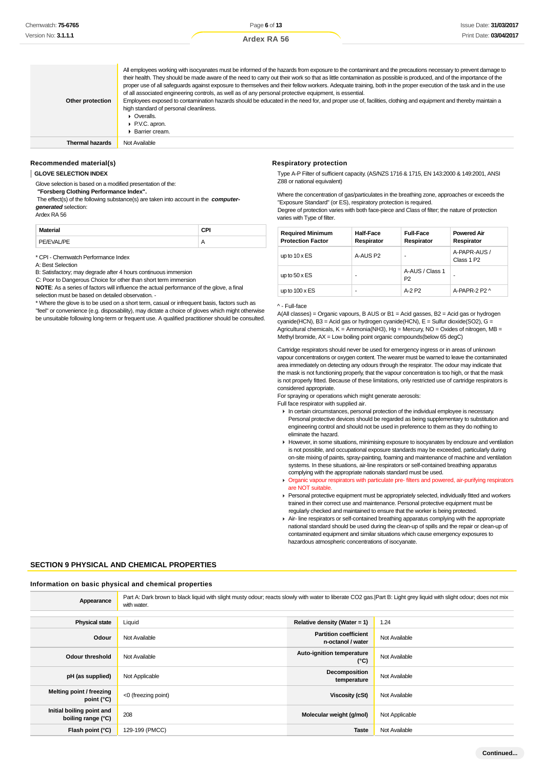| Other protection       | All employees working with isocyanates must be informed of the hazards from exposure to the contaminant and the precautions necessary to prevent damage to<br>their health. They should be made aware of the need to carry out their work so that as little contamination as possible is produced, and of the importance of the<br>proper use of all safeguards against exposure to themselves and their fellow workers. Adequate training, both in the proper execution of the task and in the use<br>of all associated engineering controls, as well as of any personal protective equipment, is essential.<br>Employees exposed to contamination hazards should be educated in the need for, and proper use of, facilities, clothing and equipment and thereby maintain a<br>high standard of personal cleanliness.<br>$\triangleright$ Overalls.<br>▶ P.V.C. apron.<br>Barrier cream. |
|------------------------|-------------------------------------------------------------------------------------------------------------------------------------------------------------------------------------------------------------------------------------------------------------------------------------------------------------------------------------------------------------------------------------------------------------------------------------------------------------------------------------------------------------------------------------------------------------------------------------------------------------------------------------------------------------------------------------------------------------------------------------------------------------------------------------------------------------------------------------------------------------------------------------------|
| <b>Thermal hazards</b> | Not Available                                                                                                                                                                                                                                                                                                                                                                                                                                                                                                                                                                                                                                                                                                                                                                                                                                                                             |
|                        |                                                                                                                                                                                                                                                                                                                                                                                                                                                                                                                                                                                                                                                                                                                                                                                                                                                                                           |

### **Recommended material(s)**

**GLOVE SELECTION INDEX**

Glove selection is based on a modified presentation of the:

 **"Forsberg Clothing Performance Index".**

 The effect(s) of the following substance(s) are taken into account in the **computergenerated** selection: Ardex RA 56

| <b>Material</b> |              |
|-----------------|--------------|
| PE/EVAL/PE      | $\mathsf{m}$ |
|                 |              |

\* CPI - Chemwatch Performance Index

A: Best Selection

B: Satisfactory; may degrade after 4 hours continuous immersion

C: Poor to Dangerous Choice for other than short term immersion

**NOTE**: As a series of factors will influence the actual performance of the glove, a final selection must be based on detailed observation. -

\* Where the glove is to be used on a short term, casual or infrequent basis, factors such as "feel" or convenience (e.g. disposability), may dictate a choice of gloves which might otherwise be unsuitable following long-term or frequent use. A qualified practitioner should be consulted.

### **Respiratory protection**

Type A-P Filter of sufficient capacity. (AS/NZS 1716 & 1715, EN 143:2000 & 149:2001, ANSI Z88 or national equivalent)

Where the concentration of gas/particulates in the breathing zone, approaches or exceeds the "Exposure Standard" (or ES), respiratory protection is required.

Degree of protection varies with both face-piece and Class of filter; the nature of protection varies with Type of filter.

| <b>Required Minimum</b><br><b>Protection Factor</b> | <b>Half-Face</b><br>Respirator | <b>Full-Face</b><br>Respirator    | <b>Powered Air</b><br>Respirator       |
|-----------------------------------------------------|--------------------------------|-----------------------------------|----------------------------------------|
| up to $10 \times ES$                                | A-AUS P2                       |                                   | A-PAPR-AUS /<br>Class 1 P <sub>2</sub> |
| up to $50 \times ES$                                | -                              | A-AUS / Class 1<br>P <sub>2</sub> |                                        |
| up to $100 \times ES$                               | -                              | A-2 P <sub>2</sub>                | A-PAPR-2 P2 $\land$                    |

### ^ - Full-face

A(All classes) = Organic vapours, B AUS or B1 = Acid gasses, B2 = Acid gas or hydrogen cyanide(HCN), B3 = Acid gas or hydrogen cyanide(HCN), E = Sulfur dioxide(SO2), G = Agricultural chemicals,  $K =$  Ammonia(NH3), Hg = Mercury, NO = Oxides of nitrogen, MB = Methyl bromide, AX = Low boiling point organic compounds(below 65 degC)

Cartridge respirators should never be used for emergency ingress or in areas of unknown vapour concentrations or oxygen content. The wearer must be warned to leave the contaminated area immediately on detecting any odours through the respirator. The odour may indicate that the mask is not functioning properly, that the vapour concentration is too high, or that the mask is not properly fitted. Because of these limitations, only restricted use of cartridge respirators is considered appropriate.

For spraying or operations which might generate aerosols:

Full face respirator with supplied air.

- In certain circumstances, personal protection of the individual employee is necessary. Personal protective devices should be regarded as being supplementary to substitution and engineering control and should not be used in preference to them as they do nothing to eliminate the hazard.
- However, in some situations, minimising exposure to isocyanates by enclosure and ventilation is not possible, and occupational exposure standards may be exceeded, particularly during on-site mixing of paints, spray-painting, foaming and maintenance of machine and ventilation systems. In these situations, air-line respirators or self-contained breathing apparatus complying with the appropriate nationals standard must be used.
- Organic vapour respirators with particulate pre- filters and powered, air-purifying respirators are NOT suitable.
- **Personal protective equipment must be appropriately selected, individually fitted and workers** trained in their correct use and maintenance. Personal protective equipment must be regularly checked and maintained to ensure that the worker is being protected.
- $\blacktriangleright$  Air- line respirators or self-contained breathing apparatus complying with the appropriate national standard should be used during the clean-up of spills and the repair or clean-up of contaminated equipment and similar situations which cause emergency exposures to hazardous atmospheric concentrations of isocyanate.

## **SECTION 9 PHYSICAL AND CHEMICAL PROPERTIES**

### **Information on basic physical and chemical properties**

| Appearance                                      | Part A: Dark brown to black liquid with slight musty odour; reacts slowly with water to liberate CO2 gas. Part B: Light grey liquid with slight odour; does not mix<br>with water. |                                                   |                |  |
|-------------------------------------------------|------------------------------------------------------------------------------------------------------------------------------------------------------------------------------------|---------------------------------------------------|----------------|--|
|                                                 |                                                                                                                                                                                    |                                                   |                |  |
| <b>Physical state</b>                           | Liquid                                                                                                                                                                             | Relative density (Water = 1)                      | 1.24           |  |
| Odour                                           | Not Available                                                                                                                                                                      | <b>Partition coefficient</b><br>n-octanol / water | Not Available  |  |
| <b>Odour threshold</b>                          | Not Available                                                                                                                                                                      | Auto-ignition temperature<br>$(^{\circ}C)$        | Not Available  |  |
| pH (as supplied)                                | Not Applicable                                                                                                                                                                     | Decomposition<br>temperature                      | Not Available  |  |
| Melting point / freezing<br>point (°C)          | <0 (freezing point)                                                                                                                                                                | <b>Viscosity (cSt)</b>                            | Not Available  |  |
| Initial boiling point and<br>boiling range (°C) | 208                                                                                                                                                                                | Molecular weight (g/mol)                          | Not Applicable |  |
| Flash point (°C)                                | 129-199 (PMCC)                                                                                                                                                                     | <b>Taste</b>                                      | Not Available  |  |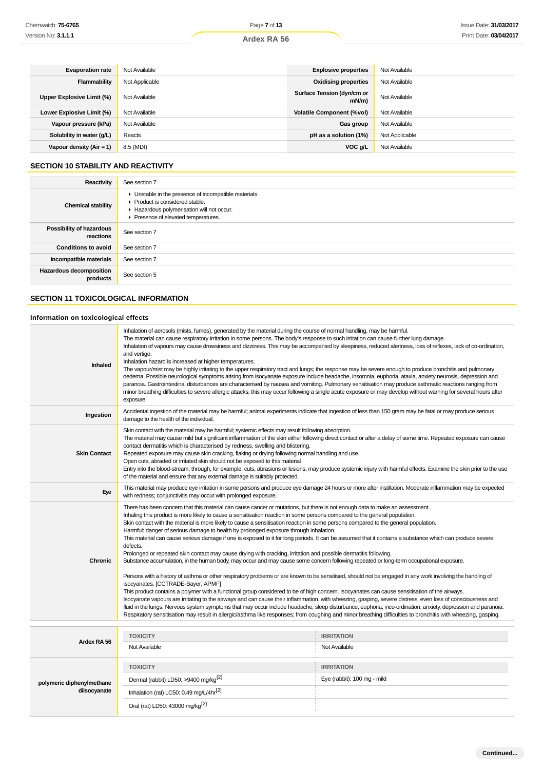| <b>Evaporation rate</b>    | Not Available  | <b>Explosive properties</b>        | Not Available  |
|----------------------------|----------------|------------------------------------|----------------|
| Flammability               | Not Applicable | <b>Oxidising properties</b>        | Not Available  |
| Upper Explosive Limit (%)  | Not Available  | Surface Tension (dyn/cm or<br>mN/m | Not Available  |
| Lower Explosive Limit (%)  | Not Available  | <b>Volatile Component (%vol)</b>   | Not Available  |
| Vapour pressure (kPa)      | Not Available  | Gas group                          | Not Available  |
| Solubility in water (g/L)  | Reacts         | pH as a solution (1%)              | Not Applicable |
| Vapour density $(Air = 1)$ | 8.5 (MDI)      | VOC g/L                            | Not Available  |

# **SECTION 10 STABILITY AND REACTIVITY**

| Reactivity                            | See section 7                                                                                                                                                            |
|---------------------------------------|--------------------------------------------------------------------------------------------------------------------------------------------------------------------------|
| <b>Chemical stability</b>             | • Unstable in the presence of incompatible materials.<br>Product is considered stable.<br>Hazardous polymerisation will not occur.<br>Presence of elevated temperatures. |
| Possibility of hazardous<br>reactions | See section 7                                                                                                                                                            |
| <b>Conditions to avoid</b>            | See section 7                                                                                                                                                            |
| Incompatible materials                | See section 7                                                                                                                                                            |
| Hazardous decomposition<br>products   | See section 5                                                                                                                                                            |

# **SECTION 11 TOXICOLOGICAL INFORMATION**

# **Information on toxicological effects**

| Chemwatch: <b>75-6765</b>                   |                                                                                                                                                                                                                                                                                                                                                                                                                                                                                                                                                                                                                                                                                                                                                                                                                                                                                                                                                                                                                                                                                                                                                                                                                                                                                                                                                                                                                                                                                                                                                                                                                                                                                                                                                                                    | Page 7 of 13 |                                                                                                                                                                                                                                                                | <b>Issue Date: 31/03/201</b>                                                                                                                                                                                                                                                                                                                                                                                                                                                                                                                                                                                                                                                                                                                                                                                     |  |  |
|---------------------------------------------|------------------------------------------------------------------------------------------------------------------------------------------------------------------------------------------------------------------------------------------------------------------------------------------------------------------------------------------------------------------------------------------------------------------------------------------------------------------------------------------------------------------------------------------------------------------------------------------------------------------------------------------------------------------------------------------------------------------------------------------------------------------------------------------------------------------------------------------------------------------------------------------------------------------------------------------------------------------------------------------------------------------------------------------------------------------------------------------------------------------------------------------------------------------------------------------------------------------------------------------------------------------------------------------------------------------------------------------------------------------------------------------------------------------------------------------------------------------------------------------------------------------------------------------------------------------------------------------------------------------------------------------------------------------------------------------------------------------------------------------------------------------------------------|--------------|----------------------------------------------------------------------------------------------------------------------------------------------------------------------------------------------------------------------------------------------------------------|------------------------------------------------------------------------------------------------------------------------------------------------------------------------------------------------------------------------------------------------------------------------------------------------------------------------------------------------------------------------------------------------------------------------------------------------------------------------------------------------------------------------------------------------------------------------------------------------------------------------------------------------------------------------------------------------------------------------------------------------------------------------------------------------------------------|--|--|
| Version No: <b>3.1.1.1</b>                  |                                                                                                                                                                                                                                                                                                                                                                                                                                                                                                                                                                                                                                                                                                                                                                                                                                                                                                                                                                                                                                                                                                                                                                                                                                                                                                                                                                                                                                                                                                                                                                                                                                                                                                                                                                                    | Ardex RA 56  |                                                                                                                                                                                                                                                                | Print Date: 03/04/201                                                                                                                                                                                                                                                                                                                                                                                                                                                                                                                                                                                                                                                                                                                                                                                            |  |  |
|                                             |                                                                                                                                                                                                                                                                                                                                                                                                                                                                                                                                                                                                                                                                                                                                                                                                                                                                                                                                                                                                                                                                                                                                                                                                                                                                                                                                                                                                                                                                                                                                                                                                                                                                                                                                                                                    |              |                                                                                                                                                                                                                                                                |                                                                                                                                                                                                                                                                                                                                                                                                                                                                                                                                                                                                                                                                                                                                                                                                                  |  |  |
|                                             |                                                                                                                                                                                                                                                                                                                                                                                                                                                                                                                                                                                                                                                                                                                                                                                                                                                                                                                                                                                                                                                                                                                                                                                                                                                                                                                                                                                                                                                                                                                                                                                                                                                                                                                                                                                    |              |                                                                                                                                                                                                                                                                |                                                                                                                                                                                                                                                                                                                                                                                                                                                                                                                                                                                                                                                                                                                                                                                                                  |  |  |
| <b>Evaporation rate</b>                     | Not Available                                                                                                                                                                                                                                                                                                                                                                                                                                                                                                                                                                                                                                                                                                                                                                                                                                                                                                                                                                                                                                                                                                                                                                                                                                                                                                                                                                                                                                                                                                                                                                                                                                                                                                                                                                      |              | <b>Explosive properties</b>                                                                                                                                                                                                                                    | Not Available                                                                                                                                                                                                                                                                                                                                                                                                                                                                                                                                                                                                                                                                                                                                                                                                    |  |  |
| <b>Flammability</b>                         | Not Applicable                                                                                                                                                                                                                                                                                                                                                                                                                                                                                                                                                                                                                                                                                                                                                                                                                                                                                                                                                                                                                                                                                                                                                                                                                                                                                                                                                                                                                                                                                                                                                                                                                                                                                                                                                                     |              | <b>Oxidising properties</b>                                                                                                                                                                                                                                    | Not Available                                                                                                                                                                                                                                                                                                                                                                                                                                                                                                                                                                                                                                                                                                                                                                                                    |  |  |
| Upper Explosive Limit (%)                   | Not Available                                                                                                                                                                                                                                                                                                                                                                                                                                                                                                                                                                                                                                                                                                                                                                                                                                                                                                                                                                                                                                                                                                                                                                                                                                                                                                                                                                                                                                                                                                                                                                                                                                                                                                                                                                      |              | Surface Tension (dyn/cm or<br>mN/m                                                                                                                                                                                                                             | Not Available                                                                                                                                                                                                                                                                                                                                                                                                                                                                                                                                                                                                                                                                                                                                                                                                    |  |  |
| Lower Explosive Limit (%)                   | Not Available                                                                                                                                                                                                                                                                                                                                                                                                                                                                                                                                                                                                                                                                                                                                                                                                                                                                                                                                                                                                                                                                                                                                                                                                                                                                                                                                                                                                                                                                                                                                                                                                                                                                                                                                                                      |              | <b>Volatile Component (%vol)</b>                                                                                                                                                                                                                               | Not Available                                                                                                                                                                                                                                                                                                                                                                                                                                                                                                                                                                                                                                                                                                                                                                                                    |  |  |
| Vapour pressure (kPa)                       | Not Available                                                                                                                                                                                                                                                                                                                                                                                                                                                                                                                                                                                                                                                                                                                                                                                                                                                                                                                                                                                                                                                                                                                                                                                                                                                                                                                                                                                                                                                                                                                                                                                                                                                                                                                                                                      |              | Gas group                                                                                                                                                                                                                                                      | Not Available                                                                                                                                                                                                                                                                                                                                                                                                                                                                                                                                                                                                                                                                                                                                                                                                    |  |  |
| Solubility in water (g/L)                   | Reacts                                                                                                                                                                                                                                                                                                                                                                                                                                                                                                                                                                                                                                                                                                                                                                                                                                                                                                                                                                                                                                                                                                                                                                                                                                                                                                                                                                                                                                                                                                                                                                                                                                                                                                                                                                             |              | pH as a solution (1%)                                                                                                                                                                                                                                          | Not Applicable                                                                                                                                                                                                                                                                                                                                                                                                                                                                                                                                                                                                                                                                                                                                                                                                   |  |  |
| Vapour density (Air = 1)                    | 8.5 (MDI)                                                                                                                                                                                                                                                                                                                                                                                                                                                                                                                                                                                                                                                                                                                                                                                                                                                                                                                                                                                                                                                                                                                                                                                                                                                                                                                                                                                                                                                                                                                                                                                                                                                                                                                                                                          |              | VOC g/L                                                                                                                                                                                                                                                        | Not Available                                                                                                                                                                                                                                                                                                                                                                                                                                                                                                                                                                                                                                                                                                                                                                                                    |  |  |
| <b>SECTION 10 STABILITY AND REACTIVITY</b>  |                                                                                                                                                                                                                                                                                                                                                                                                                                                                                                                                                                                                                                                                                                                                                                                                                                                                                                                                                                                                                                                                                                                                                                                                                                                                                                                                                                                                                                                                                                                                                                                                                                                                                                                                                                                    |              |                                                                                                                                                                                                                                                                |                                                                                                                                                                                                                                                                                                                                                                                                                                                                                                                                                                                                                                                                                                                                                                                                                  |  |  |
| <b>Reactivity</b>                           | See section 7                                                                                                                                                                                                                                                                                                                                                                                                                                                                                                                                                                                                                                                                                                                                                                                                                                                                                                                                                                                                                                                                                                                                                                                                                                                                                                                                                                                                                                                                                                                                                                                                                                                                                                                                                                      |              |                                                                                                                                                                                                                                                                |                                                                                                                                                                                                                                                                                                                                                                                                                                                                                                                                                                                                                                                                                                                                                                                                                  |  |  |
| <b>Chemical stability</b>                   | • Unstable in the presence of incompatible materials.<br>Product is considered stable.<br>Hazardous polymerisation will not occur.<br>Presence of elevated temperatures.                                                                                                                                                                                                                                                                                                                                                                                                                                                                                                                                                                                                                                                                                                                                                                                                                                                                                                                                                                                                                                                                                                                                                                                                                                                                                                                                                                                                                                                                                                                                                                                                           |              |                                                                                                                                                                                                                                                                |                                                                                                                                                                                                                                                                                                                                                                                                                                                                                                                                                                                                                                                                                                                                                                                                                  |  |  |
| Possibility of hazardous<br>reactions       | See section 7                                                                                                                                                                                                                                                                                                                                                                                                                                                                                                                                                                                                                                                                                                                                                                                                                                                                                                                                                                                                                                                                                                                                                                                                                                                                                                                                                                                                                                                                                                                                                                                                                                                                                                                                                                      |              |                                                                                                                                                                                                                                                                |                                                                                                                                                                                                                                                                                                                                                                                                                                                                                                                                                                                                                                                                                                                                                                                                                  |  |  |
| <b>Conditions to avoid</b>                  | See section 7                                                                                                                                                                                                                                                                                                                                                                                                                                                                                                                                                                                                                                                                                                                                                                                                                                                                                                                                                                                                                                                                                                                                                                                                                                                                                                                                                                                                                                                                                                                                                                                                                                                                                                                                                                      |              |                                                                                                                                                                                                                                                                |                                                                                                                                                                                                                                                                                                                                                                                                                                                                                                                                                                                                                                                                                                                                                                                                                  |  |  |
| Incompatible materials                      | See section 7                                                                                                                                                                                                                                                                                                                                                                                                                                                                                                                                                                                                                                                                                                                                                                                                                                                                                                                                                                                                                                                                                                                                                                                                                                                                                                                                                                                                                                                                                                                                                                                                                                                                                                                                                                      |              |                                                                                                                                                                                                                                                                |                                                                                                                                                                                                                                                                                                                                                                                                                                                                                                                                                                                                                                                                                                                                                                                                                  |  |  |
| <b>Hazardous decomposition</b><br>products  | See section 5                                                                                                                                                                                                                                                                                                                                                                                                                                                                                                                                                                                                                                                                                                                                                                                                                                                                                                                                                                                                                                                                                                                                                                                                                                                                                                                                                                                                                                                                                                                                                                                                                                                                                                                                                                      |              |                                                                                                                                                                                                                                                                |                                                                                                                                                                                                                                                                                                                                                                                                                                                                                                                                                                                                                                                                                                                                                                                                                  |  |  |
| <b>SECTION 11 TOXICOLOGICAL INFORMATION</b> |                                                                                                                                                                                                                                                                                                                                                                                                                                                                                                                                                                                                                                                                                                                                                                                                                                                                                                                                                                                                                                                                                                                                                                                                                                                                                                                                                                                                                                                                                                                                                                                                                                                                                                                                                                                    |              |                                                                                                                                                                                                                                                                |                                                                                                                                                                                                                                                                                                                                                                                                                                                                                                                                                                                                                                                                                                                                                                                                                  |  |  |
| Information on toxicological effects        |                                                                                                                                                                                                                                                                                                                                                                                                                                                                                                                                                                                                                                                                                                                                                                                                                                                                                                                                                                                                                                                                                                                                                                                                                                                                                                                                                                                                                                                                                                                                                                                                                                                                                                                                                                                    |              |                                                                                                                                                                                                                                                                |                                                                                                                                                                                                                                                                                                                                                                                                                                                                                                                                                                                                                                                                                                                                                                                                                  |  |  |
| Inhaled                                     | and vertigo.<br>Inhalation hazard is increased at higher temperatures.                                                                                                                                                                                                                                                                                                                                                                                                                                                                                                                                                                                                                                                                                                                                                                                                                                                                                                                                                                                                                                                                                                                                                                                                                                                                                                                                                                                                                                                                                                                                                                                                                                                                                                             |              | Inhalation of aerosols (mists, fumes), generated by the material during the course of normal handling, may be harmful.<br>The material can cause respiratory irritation in some persons. The body's response to such irritation can cause further lung damage. | Inhalation of vapours may cause drowsiness and dizziness. This may be accompanied by sleepiness, reduced alertness, loss of reflexes, lack of co-ordination,<br>The vapour/mist may be highly irritating to the upper respiratory tract and lungs; the response may be severe enough to produce bronchitis and pulmonary<br>oedema. Possible neurological symptoms arising from isocyanate exposure include headache, insomnia, euphoria, ataxia, anxiety neurosis, depression and<br>paranoia. Gastrointestinal disturbances are characterised by nausea and vomiting. Pulmonary sensitisation may produce asthmatic reactions ranging from<br>minor breathing difficulties to severe allergic attacks; this may occur following a single acute exposure or may develop without warning for several hours after |  |  |
| Ingestion                                   | exposure.<br>damage to the health of the individual.                                                                                                                                                                                                                                                                                                                                                                                                                                                                                                                                                                                                                                                                                                                                                                                                                                                                                                                                                                                                                                                                                                                                                                                                                                                                                                                                                                                                                                                                                                                                                                                                                                                                                                                               |              |                                                                                                                                                                                                                                                                | Accidental ingestion of the material may be harmful; animal experiments indicate that ingestion of less than 150 gram may be fatal or may produce serious                                                                                                                                                                                                                                                                                                                                                                                                                                                                                                                                                                                                                                                        |  |  |
| <b>Skin Contact</b>                         | Skin contact with the material may be harmful; systemic effects may result following absorption.<br>The material may cause mild but significant inflammation of the skin either following direct contact or after a delay of some time. Repeated exposure can cause<br>contact dermatitis which is characterised by redness, swelling and blistering.<br>Repeated exposure may cause skin cracking, flaking or drying following normal handling and use.<br>Open cuts, abraded or irritated skin should not be exposed to this material<br>Entry into the blood-stream, through, for example, cuts, abrasions or lesions, may produce systemic injury with harmful effects. Examine the skin prior to the use<br>of the material and ensure that any external damage is suitably protected.                                                                                                                                                                                                                                                                                                                                                                                                                                                                                                                                                                                                                                                                                                                                                                                                                                                                                                                                                                                        |              |                                                                                                                                                                                                                                                                |                                                                                                                                                                                                                                                                                                                                                                                                                                                                                                                                                                                                                                                                                                                                                                                                                  |  |  |
| Eye                                         | with redness; conjunctivitis may occur with prolonged exposure.                                                                                                                                                                                                                                                                                                                                                                                                                                                                                                                                                                                                                                                                                                                                                                                                                                                                                                                                                                                                                                                                                                                                                                                                                                                                                                                                                                                                                                                                                                                                                                                                                                                                                                                    |              |                                                                                                                                                                                                                                                                | This material may produce eye irritation in some persons and produce eye damage 24 hours or more after instillation. Moderate inflammation may be expected                                                                                                                                                                                                                                                                                                                                                                                                                                                                                                                                                                                                                                                       |  |  |
| Chronic                                     | There has been concern that this material can cause cancer or mutations, but there is not enough data to make an assessment.<br>Inhaling this product is more likely to cause a sensitisation reaction in some persons compared to the general population.<br>Skin contact with the material is more likely to cause a sensitisation reaction in some persons compared to the general population.<br>Harmful: danger of serious damage to health by prolonged exposure through inhalation.<br>This material can cause serious damage if one is exposed to it for long periods. It can be assumed that it contains a substance which can produce severe<br>defects.<br>Prolonged or repeated skin contact may cause drying with cracking, irritation and possible dermatitis following.<br>Substance accumulation, in the human body, may occur and may cause some concern following repeated or long-term occupational exposure.<br>Persons with a history of asthma or other respiratory problems or are known to be sensitised, should not be engaged in any work involving the handling of<br>isocyanates. [CCTRADE-Bayer, APMF]<br>This product contains a polymer with a functional group considered to be of high concern. Isocyanates can cause sensitisation of the airways.<br>Isocyanate vapours are irritating to the airways and can cause their inflammation, with wheezing, gasping, severe distress, even loss of consciousness and<br>fluid in the lungs. Nervous system symptoms that may occur include headache, sleep disturbance, euphoria, inco-ordination, anxiety, depression and paranoia.<br>Respiratory sensitisation may result in allergic/asthma like responses; from coughing and minor breathing difficulties to bronchitis with wheezing, gasping. |              |                                                                                                                                                                                                                                                                |                                                                                                                                                                                                                                                                                                                                                                                                                                                                                                                                                                                                                                                                                                                                                                                                                  |  |  |
|                                             | <b>TOXICITY</b>                                                                                                                                                                                                                                                                                                                                                                                                                                                                                                                                                                                                                                                                                                                                                                                                                                                                                                                                                                                                                                                                                                                                                                                                                                                                                                                                                                                                                                                                                                                                                                                                                                                                                                                                                                    |              | <b>IRRITATION</b>                                                                                                                                                                                                                                              |                                                                                                                                                                                                                                                                                                                                                                                                                                                                                                                                                                                                                                                                                                                                                                                                                  |  |  |
| Ardex RA 56                                 | Not Available                                                                                                                                                                                                                                                                                                                                                                                                                                                                                                                                                                                                                                                                                                                                                                                                                                                                                                                                                                                                                                                                                                                                                                                                                                                                                                                                                                                                                                                                                                                                                                                                                                                                                                                                                                      |              | Not Available                                                                                                                                                                                                                                                  |                                                                                                                                                                                                                                                                                                                                                                                                                                                                                                                                                                                                                                                                                                                                                                                                                  |  |  |
|                                             | <b>TOXICITY</b>                                                                                                                                                                                                                                                                                                                                                                                                                                                                                                                                                                                                                                                                                                                                                                                                                                                                                                                                                                                                                                                                                                                                                                                                                                                                                                                                                                                                                                                                                                                                                                                                                                                                                                                                                                    |              | <b>IRRITATION</b>                                                                                                                                                                                                                                              |                                                                                                                                                                                                                                                                                                                                                                                                                                                                                                                                                                                                                                                                                                                                                                                                                  |  |  |
|                                             | Dermal (rabbit) LD50: >9400 mg/kg <sup>[2]</sup>                                                                                                                                                                                                                                                                                                                                                                                                                                                                                                                                                                                                                                                                                                                                                                                                                                                                                                                                                                                                                                                                                                                                                                                                                                                                                                                                                                                                                                                                                                                                                                                                                                                                                                                                   |              | Eye (rabbit): 100 mg - mild                                                                                                                                                                                                                                    |                                                                                                                                                                                                                                                                                                                                                                                                                                                                                                                                                                                                                                                                                                                                                                                                                  |  |  |
| polymeric diphenylmethane<br>diisocyanate   | Inhalation (rat) LC50: 0.49 mg/L/4hr <sup>[2]</sup>                                                                                                                                                                                                                                                                                                                                                                                                                                                                                                                                                                                                                                                                                                                                                                                                                                                                                                                                                                                                                                                                                                                                                                                                                                                                                                                                                                                                                                                                                                                                                                                                                                                                                                                                |              |                                                                                                                                                                                                                                                                |                                                                                                                                                                                                                                                                                                                                                                                                                                                                                                                                                                                                                                                                                                                                                                                                                  |  |  |
|                                             | Oral (rat) LD50: 43000 mg/kg <sup>[2]</sup>                                                                                                                                                                                                                                                                                                                                                                                                                                                                                                                                                                                                                                                                                                                                                                                                                                                                                                                                                                                                                                                                                                                                                                                                                                                                                                                                                                                                                                                                                                                                                                                                                                                                                                                                        |              |                                                                                                                                                                                                                                                                |                                                                                                                                                                                                                                                                                                                                                                                                                                                                                                                                                                                                                                                                                                                                                                                                                  |  |  |
|                                             |                                                                                                                                                                                                                                                                                                                                                                                                                                                                                                                                                                                                                                                                                                                                                                                                                                                                                                                                                                                                                                                                                                                                                                                                                                                                                                                                                                                                                                                                                                                                                                                                                                                                                                                                                                                    |              |                                                                                                                                                                                                                                                                |                                                                                                                                                                                                                                                                                                                                                                                                                                                                                                                                                                                                                                                                                                                                                                                                                  |  |  |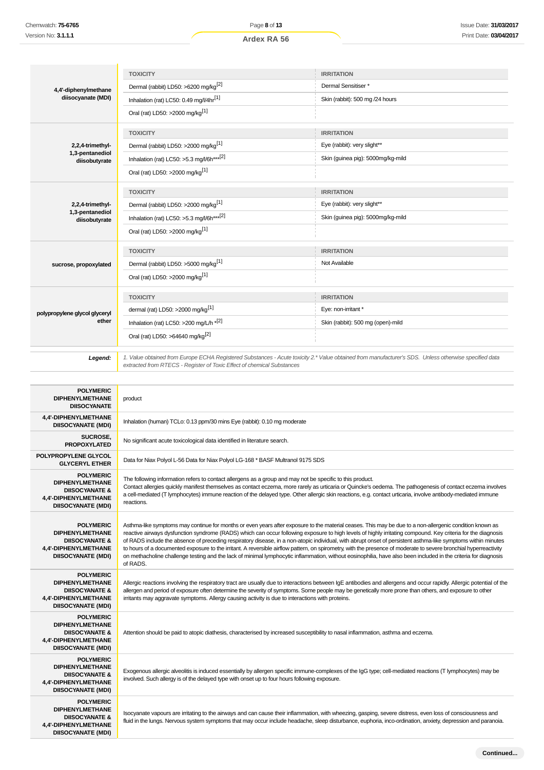**DIISOCYANATE (MDI)**

|                                                                                                                              | <b>TOXICITY</b>                                                                                                                                                                                                                                                                                                                                                                                                                                                                                                                                                                                                                                                                                                                                                                                                                               | <b>IRRITATION</b>                                                                                                                                                                                                                                                                                                              |  |
|------------------------------------------------------------------------------------------------------------------------------|-----------------------------------------------------------------------------------------------------------------------------------------------------------------------------------------------------------------------------------------------------------------------------------------------------------------------------------------------------------------------------------------------------------------------------------------------------------------------------------------------------------------------------------------------------------------------------------------------------------------------------------------------------------------------------------------------------------------------------------------------------------------------------------------------------------------------------------------------|--------------------------------------------------------------------------------------------------------------------------------------------------------------------------------------------------------------------------------------------------------------------------------------------------------------------------------|--|
| 4,4'-diphenylmethane<br>diisocyanate (MDI)                                                                                   | Dermal (rabbit) LD50: >6200 mg/kg <sup>[2]</sup>                                                                                                                                                                                                                                                                                                                                                                                                                                                                                                                                                                                                                                                                                                                                                                                              | Dermal Sensitiser *                                                                                                                                                                                                                                                                                                            |  |
|                                                                                                                              | Inhalation (rat) LC50: 0.49 mg/l/4hr <sup>[1]</sup>                                                                                                                                                                                                                                                                                                                                                                                                                                                                                                                                                                                                                                                                                                                                                                                           | Skin (rabbit): 500 mg /24 hours                                                                                                                                                                                                                                                                                                |  |
|                                                                                                                              | Oral (rat) LD50: >2000 mg/kg <sup>[1]</sup>                                                                                                                                                                                                                                                                                                                                                                                                                                                                                                                                                                                                                                                                                                                                                                                                   |                                                                                                                                                                                                                                                                                                                                |  |
|                                                                                                                              | <b>TOXICITY</b>                                                                                                                                                                                                                                                                                                                                                                                                                                                                                                                                                                                                                                                                                                                                                                                                                               | <b>IRRITATION</b>                                                                                                                                                                                                                                                                                                              |  |
| 2,2,4-trimethyl-                                                                                                             | Dermal (rabbit) LD50: >2000 mg/kg <sup>[1]</sup>                                                                                                                                                                                                                                                                                                                                                                                                                                                                                                                                                                                                                                                                                                                                                                                              | Eye (rabbit): very slight**                                                                                                                                                                                                                                                                                                    |  |
| 1,3-pentanediol<br>diisobutyrate                                                                                             | Inhalation (rat) LC50: >5.3 mg/l/6h*** <sup>[2]</sup>                                                                                                                                                                                                                                                                                                                                                                                                                                                                                                                                                                                                                                                                                                                                                                                         | Skin (guinea pig): 5000mg/kg-mild                                                                                                                                                                                                                                                                                              |  |
|                                                                                                                              | Oral (rat) LD50: >2000 mg/kg <sup>[1]</sup>                                                                                                                                                                                                                                                                                                                                                                                                                                                                                                                                                                                                                                                                                                                                                                                                   |                                                                                                                                                                                                                                                                                                                                |  |
|                                                                                                                              | <b>TOXICITY</b>                                                                                                                                                                                                                                                                                                                                                                                                                                                                                                                                                                                                                                                                                                                                                                                                                               | <b>IRRITATION</b>                                                                                                                                                                                                                                                                                                              |  |
| 2,2,4-trimethyl-                                                                                                             | Dermal (rabbit) LD50: >2000 mg/kg <sup>[1]</sup>                                                                                                                                                                                                                                                                                                                                                                                                                                                                                                                                                                                                                                                                                                                                                                                              | Eye (rabbit): very slight**                                                                                                                                                                                                                                                                                                    |  |
| 1,3-pentanediol<br>diisobutyrate                                                                                             | Inhalation (rat) LC50: >5.3 mg/l/6h*** <sup>[2]</sup>                                                                                                                                                                                                                                                                                                                                                                                                                                                                                                                                                                                                                                                                                                                                                                                         | Skin (guinea pig): 5000mg/kg-mild                                                                                                                                                                                                                                                                                              |  |
|                                                                                                                              | Oral (rat) LD50: >2000 mg/kg <sup>[1]</sup>                                                                                                                                                                                                                                                                                                                                                                                                                                                                                                                                                                                                                                                                                                                                                                                                   |                                                                                                                                                                                                                                                                                                                                |  |
|                                                                                                                              | <b>TOXICITY</b>                                                                                                                                                                                                                                                                                                                                                                                                                                                                                                                                                                                                                                                                                                                                                                                                                               | <b>IRRITATION</b>                                                                                                                                                                                                                                                                                                              |  |
| sucrose, propoxylated                                                                                                        | Dermal (rabbit) LD50: >5000 mg/kg <sup>[1]</sup>                                                                                                                                                                                                                                                                                                                                                                                                                                                                                                                                                                                                                                                                                                                                                                                              | Not Available                                                                                                                                                                                                                                                                                                                  |  |
|                                                                                                                              | Oral (rat) LD50: >2000 mg/kg <sup>[1]</sup>                                                                                                                                                                                                                                                                                                                                                                                                                                                                                                                                                                                                                                                                                                                                                                                                   |                                                                                                                                                                                                                                                                                                                                |  |
|                                                                                                                              | <b>TOXICITY</b>                                                                                                                                                                                                                                                                                                                                                                                                                                                                                                                                                                                                                                                                                                                                                                                                                               | <b>IRRITATION</b>                                                                                                                                                                                                                                                                                                              |  |
|                                                                                                                              | dermal (rat) LD50: >2000 mg/kg <sup>[1]</sup>                                                                                                                                                                                                                                                                                                                                                                                                                                                                                                                                                                                                                                                                                                                                                                                                 | Eye: non-irritant *                                                                                                                                                                                                                                                                                                            |  |
| polypropylene glycol glyceryl<br>ether                                                                                       | Inhalation (rat) LC50: >200 mg/L/h *[2]                                                                                                                                                                                                                                                                                                                                                                                                                                                                                                                                                                                                                                                                                                                                                                                                       | Skin (rabbit): 500 mg (open)-mild                                                                                                                                                                                                                                                                                              |  |
|                                                                                                                              | Oral (rat) LD50: >64640 mg/kg <sup>[2]</sup>                                                                                                                                                                                                                                                                                                                                                                                                                                                                                                                                                                                                                                                                                                                                                                                                  |                                                                                                                                                                                                                                                                                                                                |  |
| Legend:                                                                                                                      | extracted from RTECS - Register of Toxic Effect of chemical Substances                                                                                                                                                                                                                                                                                                                                                                                                                                                                                                                                                                                                                                                                                                                                                                        | 1. Value obtained from Europe ECHA Registered Substances - Acute toxicity 2.* Value obtained from manufacturer's SDS. Unless otherwise specified data                                                                                                                                                                          |  |
| <b>POLYMERIC</b><br><b>DIPHENYLMETHANE</b><br><b>DIISOCYANATE</b>                                                            | product                                                                                                                                                                                                                                                                                                                                                                                                                                                                                                                                                                                                                                                                                                                                                                                                                                       |                                                                                                                                                                                                                                                                                                                                |  |
| 4,4'-DIPHENYLMETHANE<br><b>DIISOCYANATE (MDI)</b>                                                                            | Inhalation (human) TCLo: 0.13 ppm/30 mins Eye (rabbit): 0.10 mg moderate                                                                                                                                                                                                                                                                                                                                                                                                                                                                                                                                                                                                                                                                                                                                                                      |                                                                                                                                                                                                                                                                                                                                |  |
| <b>SUCROSE,</b><br><b>PROPOXYLATED</b>                                                                                       | No significant acute toxicological data identified in literature search.                                                                                                                                                                                                                                                                                                                                                                                                                                                                                                                                                                                                                                                                                                                                                                      |                                                                                                                                                                                                                                                                                                                                |  |
| POLYPROPYLENE GLYCOL<br><b>GLYCERYL ETHER</b>                                                                                | Data for Niax Polyol L-56 Data for Niax Polyol LG-168 * BASF Multranol 9175 SDS                                                                                                                                                                                                                                                                                                                                                                                                                                                                                                                                                                                                                                                                                                                                                               |                                                                                                                                                                                                                                                                                                                                |  |
| <b>POLYMERIC</b><br><b>DIPHENYLMETHANE</b><br><b>DIISOCYANATE &amp;</b><br>4,4'-DIPHENYLMETHANE<br><b>DIISOCYANATE (MDI)</b> | The following information refers to contact allergens as a group and may not be specific to this product.<br>Contact allergies quickly manifest themselves as contact eczema, more rarely as urticaria or Quincke's oedema. The pathogenesis of contact eczema involves<br>a cell-mediated (T lymphocytes) immune reaction of the delayed type. Other allergic skin reactions, e.g. contact urticaria, involve antibody-mediated immune<br>reactions.                                                                                                                                                                                                                                                                                                                                                                                         |                                                                                                                                                                                                                                                                                                                                |  |
| <b>POLYMERIC</b><br><b>DIPHENYLMETHANE</b><br><b>DIISOCYANATE &amp;</b><br>4,4'-DIPHENYLMETHANE<br><b>DIISOCYANATE (MDI)</b> | Asthma-like symptoms may continue for months or even years after exposure to the material ceases. This may be due to a non-allergenic condition known as<br>reactive airways dysfunction syndrome (RADS) which can occur following exposure to high levels of highly irritating compound. Key criteria for the diagnosis<br>of RADS include the absence of preceding respiratory disease, in a non-atopic individual, with abrupt onset of persistent asthma-like symptoms within minutes<br>to hours of a documented exposure to the irritant. A reversible airflow pattern, on spirometry, with the presence of moderate to severe bronchial hyperreactivity<br>on methacholine challenge testing and the lack of minimal lymphocytic inflammation, without eosinophilia, have also been included in the criteria for diagnosis<br>of RADS. |                                                                                                                                                                                                                                                                                                                                |  |
| <b>POLYMERIC</b><br><b>DIPHENYLMETHANE</b><br><b>DIISOCYANATE &amp;</b><br>4,4'-DIPHENYLMETHANE<br><b>DIISOCYANATE (MDI)</b> | irritants may aggravate symptoms. Allergy causing activity is due to interactions with proteins.                                                                                                                                                                                                                                                                                                                                                                                                                                                                                                                                                                                                                                                                                                                                              | Allergic reactions involving the respiratory tract are usually due to interactions between IgE antibodies and allergens and occur rapidly. Allergic potential of the<br>allergen and period of exposure often determine the severity of symptoms. Some people may be genetically more prone than others, and exposure to other |  |
| <b>POLYMERIC</b><br><b>DIPHENYLMETHANE</b><br><b>DIISOCYANATE &amp;</b><br>4,4'-DIPHENYLMETHANE<br><b>DIISOCYANATE (MDI)</b> | Attention should be paid to atopic diathesis, characterised by increased susceptibility to nasal inflammation, asthma and eczema.                                                                                                                                                                                                                                                                                                                                                                                                                                                                                                                                                                                                                                                                                                             |                                                                                                                                                                                                                                                                                                                                |  |
| <b>POLYMERIC</b><br><b>DIPHENYLMETHANE</b><br><b>DIISOCYANATE &amp;</b><br>4,4'-DIPHENYLMETHANE<br><b>DIISOCYANATE (MDI)</b> |                                                                                                                                                                                                                                                                                                                                                                                                                                                                                                                                                                                                                                                                                                                                                                                                                                               | Exogenous allergic alveolitis is induced essentially by allergen specific immune-complexes of the IgG type; cell-mediated reactions (T lymphocytes) may be<br>involved. Such allergy is of the delayed type with onset up to four hours following exposure.                                                                    |  |
| <b>POLYMERIC</b><br><b>DIPHENYLMETHANE</b><br><b>DIISOCYANATE &amp;</b><br>4,4'-DIPHENYLMETHANE                              |                                                                                                                                                                                                                                                                                                                                                                                                                                                                                                                                                                                                                                                                                                                                                                                                                                               | Isocyanate vapours are irritating to the airways and can cause their inflammation, with wheezing, gasping, severe distress, even loss of consciousness and<br>fluid in the lungs. Nervous system symptoms that may occur include headache, sleep disturbance, euphoria, inco-ordination, anxiety, depression and paranoia.     |  |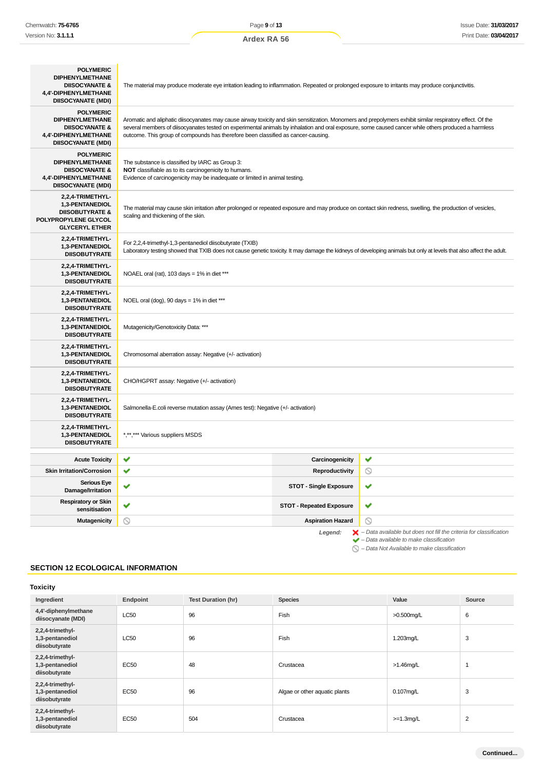| <b>POLYMERIC</b><br><b>DIPHENYLMETHANE</b>                                                                                   |                                                                                                                                                                                                                                                                                                                                                                                                         |                                 |                                                                                                                                                           |
|------------------------------------------------------------------------------------------------------------------------------|---------------------------------------------------------------------------------------------------------------------------------------------------------------------------------------------------------------------------------------------------------------------------------------------------------------------------------------------------------------------------------------------------------|---------------------------------|-----------------------------------------------------------------------------------------------------------------------------------------------------------|
| <b>DIISOCYANATE &amp;</b><br>4,4'-DIPHENYLMETHANE<br><b>DIISOCYANATE (MDI)</b>                                               | The material may produce moderate eye irritation leading to inflammation. Repeated or prolonged exposure to irritants may produce conjunctivitis.                                                                                                                                                                                                                                                       |                                 |                                                                                                                                                           |
| <b>POLYMERIC</b><br><b>DIPHENYLMETHANE</b><br><b>DIISOCYANATE &amp;</b><br>4,4'-DIPHENYLMETHANE<br><b>DIISOCYANATE (MDI)</b> | Aromatic and aliphatic diisocyanates may cause airway toxicity and skin sensitization. Monomers and prepolymers exhibit similar respiratory effect. Of the<br>several members of diisocyanates tested on experimental animals by inhalation and oral exposure, some caused cancer while others produced a harmless<br>outcome. This group of compounds has therefore been classified as cancer-causing. |                                 |                                                                                                                                                           |
| <b>POLYMERIC</b><br><b>DIPHENYLMETHANE</b><br><b>DIISOCYANATE &amp;</b><br>4,4'-DIPHENYLMETHANE<br><b>DIISOCYANATE (MDI)</b> | The substance is classified by IARC as Group 3:<br>NOT classifiable as to its carcinogenicity to humans.<br>Evidence of carcinogenicity may be inadequate or limited in animal testing.                                                                                                                                                                                                                 |                                 |                                                                                                                                                           |
| 2,2,4-TRIMETHYL-<br>1,3-PENTANEDIOL<br><b>DIISOBUTYRATE &amp;</b><br>POLYPROPYLENE GLYCOL<br><b>GLYCERYL ETHER</b>           | The material may cause skin irritation after prolonged or repeated exposure and may produce on contact skin redness, swelling, the production of vesicles,<br>scaling and thickening of the skin.                                                                                                                                                                                                       |                                 |                                                                                                                                                           |
| 2,2,4-TRIMETHYL-<br>1,3-PENTANEDIOL<br><b>DIISOBUTYRATE</b>                                                                  | For 2,2,4-trimethyl-1,3-pentanediol diisobutyrate (TXIB)<br>Laboratory testing showed that TXIB does not cause genetic toxicity. It may damage the kidneys of developing animals but only at levels that also affect the adult.                                                                                                                                                                         |                                 |                                                                                                                                                           |
| 2,2,4-TRIMETHYL-<br><b>1,3-PENTANEDIOL</b><br><b>DIISOBUTYRATE</b>                                                           | NOAEL oral (rat), 103 days = $1\%$ in diet ***                                                                                                                                                                                                                                                                                                                                                          |                                 |                                                                                                                                                           |
| 2,2,4-TRIMETHYL-<br>1,3-PENTANEDIOL<br><b>DIISOBUTYRATE</b>                                                                  | NOEL oral (dog), 90 days = $1\%$ in diet ***                                                                                                                                                                                                                                                                                                                                                            |                                 |                                                                                                                                                           |
| 2,2,4-TRIMETHYL-<br>1,3-PENTANEDIOL<br><b>DIISOBUTYRATE</b>                                                                  | Mutagenicity/Genotoxicity Data: ***                                                                                                                                                                                                                                                                                                                                                                     |                                 |                                                                                                                                                           |
| 2,2,4-TRIMETHYL-<br><b>1,3-PENTANEDIOL</b><br><b>DIISOBUTYRATE</b>                                                           | Chromosomal aberration assay: Negative (+/- activation)                                                                                                                                                                                                                                                                                                                                                 |                                 |                                                                                                                                                           |
| 2,2,4-TRIMETHYL-<br>1,3-PENTANEDIOL<br><b>DIISOBUTYRATE</b>                                                                  | CHO/HGPRT assay: Negative (+/- activation)                                                                                                                                                                                                                                                                                                                                                              |                                 |                                                                                                                                                           |
| 2,2,4-TRIMETHYL-<br><b>1,3-PENTANEDIOL</b><br><b>DIISOBUTYRATE</b>                                                           | Salmonella-E.coli reverse mutation assay (Ames test): Negative (+/- activation)                                                                                                                                                                                                                                                                                                                         |                                 |                                                                                                                                                           |
| 2,2,4-TRIMETHYL-<br>1,3-PENTANEDIOL<br><b>DIISOBUTYRATE</b>                                                                  | *,**,*** Various suppliers MSDS                                                                                                                                                                                                                                                                                                                                                                         |                                 |                                                                                                                                                           |
| <b>Acute Toxicity</b>                                                                                                        | ✔                                                                                                                                                                                                                                                                                                                                                                                                       | Carcinogenicity                 | ✔                                                                                                                                                         |
| <b>Skin Irritation/Corrosion</b>                                                                                             | ✔                                                                                                                                                                                                                                                                                                                                                                                                       | Reproductivity                  | $\circ$                                                                                                                                                   |
| <b>Serious Eye</b><br>Damage/Irritation                                                                                      | ✔                                                                                                                                                                                                                                                                                                                                                                                                       | <b>STOT - Single Exposure</b>   | ✔                                                                                                                                                         |
| <b>Respiratory or Skin</b><br>sensitisation                                                                                  | ✔                                                                                                                                                                                                                                                                                                                                                                                                       | <b>STOT - Repeated Exposure</b> | ✔                                                                                                                                                         |
| Mutagenicity                                                                                                                 | $\circledcirc$                                                                                                                                                                                                                                                                                                                                                                                          | <b>Aspiration Hazard</b>        | $\odot$                                                                                                                                                   |
|                                                                                                                              |                                                                                                                                                                                                                                                                                                                                                                                                         | Legend:                         | $\blacktriangleright$ - Data available but does not fill the criteria for classification<br>$\blacktriangleright$ - Data available to make classification |

– Data Not Available to make classification

# **SECTION 12 ECOLOGICAL INFORMATION**

### **Toxicity**

| Ingredient                                           | Endpoint    | <b>Test Duration (hr)</b> | <b>Species</b>                | Value         | Source         |
|------------------------------------------------------|-------------|---------------------------|-------------------------------|---------------|----------------|
| 4,4'-diphenylmethane<br>diisocyanate (MDI)           | <b>LC50</b> | 96                        | Fish                          | $>0.500$ ma/L | 6              |
| 2,2,4-trimethyl-<br>1,3-pentanediol<br>diisobutyrate | <b>LC50</b> | 96                        | Fish                          | 1.203mg/L     | 3              |
| 2,2,4-trimethyl-<br>1,3-pentanediol<br>diisobutyrate | EC50        | 48                        | Crustacea                     | $>1.46$ mg/L  | 1              |
| 2,2,4-trimethyl-<br>1,3-pentanediol<br>diisobutyrate | EC50        | 96                        | Algae or other aquatic plants | $0.107$ mg/L  | 3              |
| 2,2,4-trimethyl-<br>1,3-pentanediol<br>diisobutyrate | EC50        | 504                       | Crustacea                     | $>=1.3$ mg/L  | $\overline{2}$ |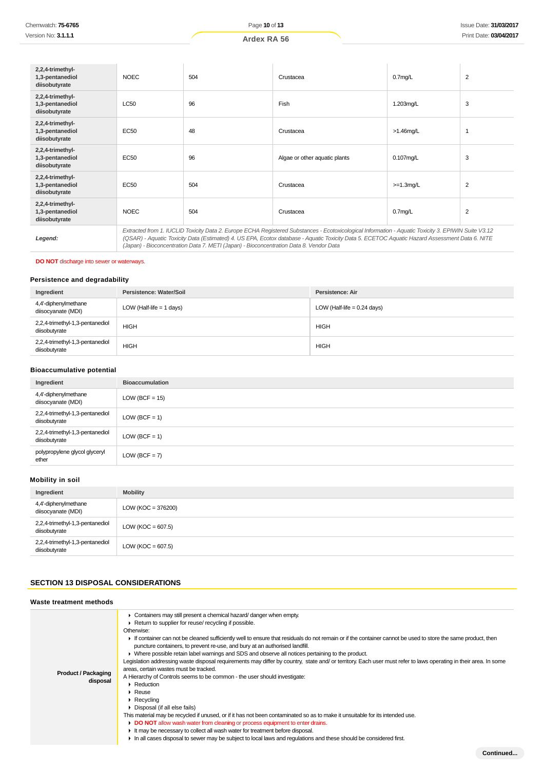| 2,2,4-trimethyl-<br>1,3-pentanediol<br>diisobutyrate | <b>NOEC</b>                                                                                                                                                                                                                                                                                                                                                                                     | 504 | Crustacea                     | 0.7 <sub>mq/L</sub> | 2 |
|------------------------------------------------------|-------------------------------------------------------------------------------------------------------------------------------------------------------------------------------------------------------------------------------------------------------------------------------------------------------------------------------------------------------------------------------------------------|-----|-------------------------------|---------------------|---|
| 2,2,4-trimethyl-<br>1,3-pentanediol<br>diisobutyrate | <b>LC50</b>                                                                                                                                                                                                                                                                                                                                                                                     | 96  | Fish                          | 1.203mg/L           | 3 |
| 2,2,4-trimethyl-<br>1,3-pentanediol<br>diisobutyrate | EC50                                                                                                                                                                                                                                                                                                                                                                                            | 48  | Crustacea                     | $>1.46$ mg/L        |   |
| 2,2,4-trimethyl-<br>1,3-pentanediol<br>diisobutyrate | EC50                                                                                                                                                                                                                                                                                                                                                                                            | 96  | Algae or other aquatic plants | $0.107$ mg/L        | 3 |
| 2,2,4-trimethyl-<br>1,3-pentanediol<br>diisobutyrate | EC50                                                                                                                                                                                                                                                                                                                                                                                            | 504 | Crustacea                     | $>=1.3$ mg/L        | 2 |
| 2,2,4-trimethyl-<br>1,3-pentanediol<br>diisobutyrate | <b>NOEC</b>                                                                                                                                                                                                                                                                                                                                                                                     | 504 | Crustacea                     | 0.7 <sub>mq/L</sub> | 2 |
| Legend:                                              | Extracted from 1. IUCLID Toxicity Data 2. Europe ECHA Registered Substances - Ecotoxicological Information - Aquatic Toxicity 3. EPIWIN Suite V3.12<br>(QSAR) - Aquatic Toxicity Data (Estimated) 4. US EPA, Ecotox database - Aquatic Toxicity Data 5. ECETOC Aquatic Hazard Assessment Data 6. NITE<br>(Japan) - Bioconcentration Data 7. METI (Japan) - Bioconcentration Data 8. Vendor Data |     |                               |                     |   |

### **DO NOT** discharge into sewer or waterways.

# **Persistence and degradability**

| Ingredient                                       | Persistence: Water/Soil    | Persistence: Air              |
|--------------------------------------------------|----------------------------|-------------------------------|
| 4,4'-diphenylmethane<br>diisocyanate (MDI)       | LOW (Half-life $= 1$ days) | LOW (Half-life $= 0.24$ days) |
| 2,2,4-trimethyl-1,3-pentanediol<br>diisobutyrate | <b>HIGH</b>                | <b>HIGH</b>                   |
| 2,2,4-trimethyl-1,3-pentanediol<br>diisobutyrate | <b>HIGH</b>                | <b>HIGH</b>                   |

# **Bioaccumulative potential**

| Ingredient                                       | <b>Bioaccumulation</b> |
|--------------------------------------------------|------------------------|
| 4,4'-diphenylmethane<br>diisocyanate (MDI)       | $LOW (BCF = 15)$       |
| 2,2,4-trimethyl-1,3-pentanediol<br>diisobutyrate | $LOW (BCF = 1)$        |
| 2,2,4-trimethyl-1,3-pentanediol<br>diisobutyrate | $LOW (BCF = 1)$        |
| polypropylene glycol glyceryl<br>ether           | $LOW (BCF = 7)$        |
|                                                  |                        |

## **Mobility in soil**

| Ingredient                                       | <b>Mobility</b>        |
|--------------------------------------------------|------------------------|
| 4,4'-diphenylmethane<br>diisocyanate (MDI)       | LOW ( $KOC = 376200$ ) |
| 2,2,4-trimethyl-1,3-pentanediol<br>diisobutyrate | LOW ( $KOC = 607.5$ )  |
| 2,2,4-trimethyl-1,3-pentanediol<br>diisobutyrate | LOW ( $KOC = 607.5$ )  |

# **SECTION 13 DISPOSAL CONSIDERATIONS**

| Waste treatment methods                |                                                                                                                                                                                                                                                                                                                                                                                                                                                                                                                                                                                                                                                                                                                                                                                                                                                                                                                                                                                                                                                                                                                                                                                                                                                                                                                        |
|----------------------------------------|------------------------------------------------------------------------------------------------------------------------------------------------------------------------------------------------------------------------------------------------------------------------------------------------------------------------------------------------------------------------------------------------------------------------------------------------------------------------------------------------------------------------------------------------------------------------------------------------------------------------------------------------------------------------------------------------------------------------------------------------------------------------------------------------------------------------------------------------------------------------------------------------------------------------------------------------------------------------------------------------------------------------------------------------------------------------------------------------------------------------------------------------------------------------------------------------------------------------------------------------------------------------------------------------------------------------|
| <b>Product / Packaging</b><br>disposal | Containers may still present a chemical hazard/ danger when empty.<br>Return to supplier for reuse/ recycling if possible.<br>Otherwise:<br>If container can not be cleaned sufficiently well to ensure that residuals do not remain or if the container cannot be used to store the same product, then<br>puncture containers, to prevent re-use, and bury at an authorised landfill.<br>• Where possible retain label warnings and SDS and observe all notices pertaining to the product.<br>Legislation addressing waste disposal requirements may differ by country, state and/ or territory. Each user must refer to laws operating in their area. In some<br>areas, certain wastes must be tracked.<br>A Hierarchy of Controls seems to be common - the user should investigate:<br>Reduction<br>$\triangleright$ Reuse<br>$\triangleright$ Recycling<br>• Disposal (if all else fails)<br>This material may be recycled if unused, or if it has not been contaminated so as to make it unsuitable for its intended use.<br>DO NOT allow wash water from cleaning or process equipment to enter drains.<br>If the may be necessary to collect all wash water for treatment before disposal.<br>In all cases disposal to sewer may be subject to local laws and regulations and these should be considered first. |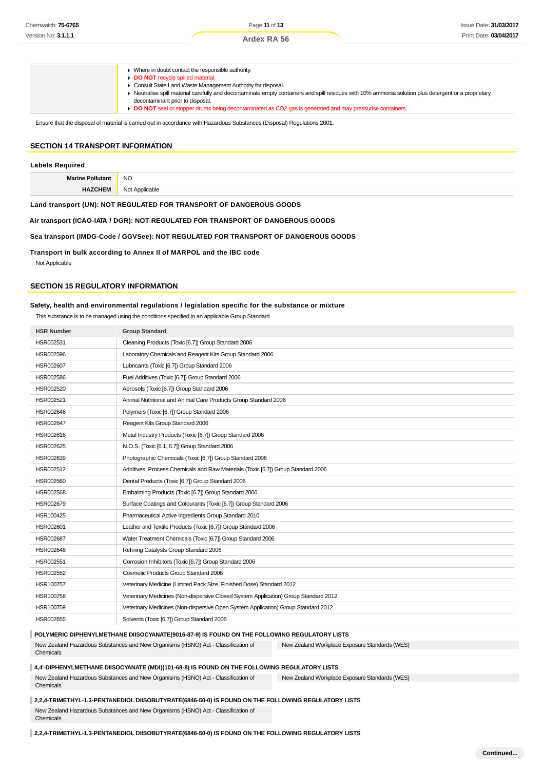**Ardex RA 56**

|                                          | • Where in doubt contact the responsible authority.<br>DO NOT recycle spilled material.                                                                                                            |
|------------------------------------------|----------------------------------------------------------------------------------------------------------------------------------------------------------------------------------------------------|
|                                          | Consult State Land Waste Management Authority for disposal.                                                                                                                                        |
|                                          | ▶ Neutralise spill material carefully and decontaminate empty containers and spill residues with 10% ammonia solution plus detergent or a proprietary<br>decontaminant prior to disposal.          |
|                                          | DO NOT seal or stopper drums being decontaminated as CO2 gas is generated and may pressurise containers.                                                                                           |
| <b>SECTION 14 TRANSPORT INFORMATION</b>  | Ensure that the disposal of material is carried out in accordance with Hazardous Substances (Disposal) Regulations 2001.                                                                           |
| <b>Labels Required</b>                   |                                                                                                                                                                                                    |
| <b>Marine Pollutant</b>                  | NO.                                                                                                                                                                                                |
| <b>HAZCHEM</b>                           | Not Applicable                                                                                                                                                                                     |
|                                          | Land transport (UN): NOT REGULATED FOR TRANSPORT OF DANGEROUS GOODS                                                                                                                                |
|                                          | Air transport (ICAO-IATA / DGR): NOT REGULATED FOR TRANSPORT OF DANGEROUS GOODS                                                                                                                    |
|                                          | Sea transport (IMDG-Code / GGVSee): NOT REGULATED FOR TRANSPORT OF DANGEROUS GOODS                                                                                                                 |
| Not Applicable                           | Transport in bulk according to Annex II of MARPOL and the IBC code                                                                                                                                 |
|                                          |                                                                                                                                                                                                    |
| <b>SECTION 15 REGULATORY INFORMATION</b> |                                                                                                                                                                                                    |
|                                          | Safety, health and environmental regulations / legislation specific for the substance or mixture<br>This substance is to be managed using the conditions specified in an applicable Group Standard |

| <b>HSR Number</b> | <b>Group Standard</b>                                                                                                               |
|-------------------|-------------------------------------------------------------------------------------------------------------------------------------|
| HSR002531         | Cleaning Products (Toxic [6.7]) Group Standard 2006                                                                                 |
| HSR002596         | Laboratory Chemicals and Reagent Kits Group Standard 2006                                                                           |
| <b>HSR002607</b>  | Lubricants (Toxic [6.7]) Group Standard 2006                                                                                        |
| HSR002586         | Fuel Additives (Toxic [6.7]) Group Standard 2006                                                                                    |
| HSR002520         | Aerosols (Toxic [6.7]) Group Standard 2006                                                                                          |
| HSR002521         | Animal Nutritional and Animal Care Products Group Standard 2006                                                                     |
| HSR002646         | Polymers (Toxic [6.7]) Group Standard 2006                                                                                          |
| HSR002647         | Reagent Kits Group Standard 2006                                                                                                    |
| HSR002616         | Metal Industry Products (Toxic [6.7]) Group Standard 2006                                                                           |
| HSR002625         | N.O.S. (Toxic [6.1, 6.7]) Group Standard 2006                                                                                       |
| HSR002639         | Photographic Chemicals (Toxic [6.7]) Group Standard 2006                                                                            |
| HSR002512         | Additives, Process Chemicals and Raw Materials (Toxic [6.7]) Group Standard 2006                                                    |
| HSR002560         | Dental Products (Toxic [6.7]) Group Standard 2006                                                                                   |
| HSR002568         | Embalming Products (Toxic [6.7]) Group Standard 2006                                                                                |
| HSR002679         | Surface Coatings and Colourants (Toxic [6.7]) Group Standard 2006                                                                   |
| HSR100425         | Pharmaceutical Active Ingredients Group Standard 2010                                                                               |
| HSR002601         | Leather and Textile Products (Toxic [6.7]) Group Standard 2006                                                                      |
| <b>HSR002687</b>  | Water Treatment Chemicals (Toxic [6.7]) Group Standard 2006                                                                         |
| HSR002648         | Refining Catalysts Group Standard 2006                                                                                              |
| HSR002551         | Corrosion Inhibitors (Toxic [6.7]) Group Standard 2006                                                                              |
| HSR002552         | Cosmetic Products Group Standard 2006                                                                                               |
| <b>HSR100757</b>  | Veterinary Medicine (Limited Pack Size, Finished Dose) Standard 2012                                                                |
| HSR100758         | Veterinary Medicines (Non-dispersive Closed System Application) Group Standard 2012                                                 |
| HSR100759         | Veterinary Medicines (Non-dispersive Open System Application) Group Standard 2012                                                   |
| HSR002655         | Solvents (Toxic [6.7]) Group Standard 2006                                                                                          |
|                   | POLYMERIC DIPHENYLMETHANE DIISOCYANATE(9016-87-9) IS FOUND ON THE FOLLOWING REGULATORY LISTS                                        |
| Chemicals         | New Zealand Hazardous Substances and New Organisms (HSNO) Act - Classification of<br>New Zealand Workplace Exposure Standards (WES) |
|                   | 4,4'-DIPHENYLMETHANE DIISOCYANATE (MDI)(101-68-8) IS FOUND ON THE FOLLOWING REGULATORY LISTS                                        |

New Zealand Hazardous Substances and New Organisms (HSNO) Act - Classification of New Zealand Workplace Exposure Standards (WES)

Chemicals

**2,2,4-TRIMETHYL-1,3-PENTANEDIOL DIISOBUTYRATE(6846-50-0) IS FOUND ON THE FOLLOWING REGULATORY LISTS** New Zealand Hazardous Substances and New Organisms (HSNO) Act - Classification of Chemicals

**2,2,4-TRIMETHYL-1,3-PENTANEDIOL DIISOBUTYRATE(6846-50-0) IS FOUND ON THE FOLLOWING REGULATORY LISTS**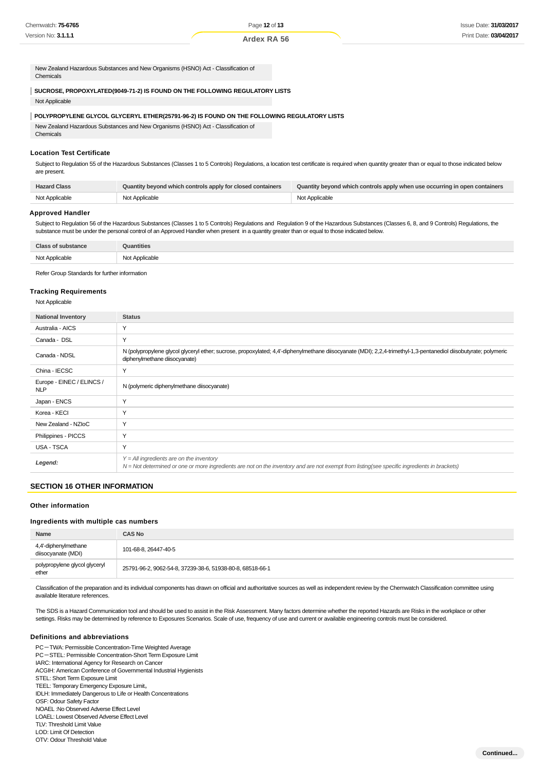New Zealand Hazardous Substances and New Organisms (HSNO) Act - Classification of Chemicals

### **SUCROSE, PROPOXYLATED(9049-71-2) IS FOUND ON THE FOLLOWING REGULATORY LISTS**

Not Applicable

### **POLYPROPYLENE GLYCOL GLYCERYL ETHER(25791-96-2) IS FOUND ON THE FOLLOWING REGULATORY LISTS**

New Zealand Hazardous Substances and New Organisms (HSNO) Act - Classification of Chemicals

#### **Location Test Certificate**

Subject to Regulation 55 of the Hazardous Substances (Classes 1 to 5 Controls) Regulations, a location test certificate is required when quantity greater than or equal to those indicated below are present.

| <b>Hazard Class</b> | Quantity beyond which controls apply for closed containers | Quantity beyond which controls apply when use occurring in open containers |
|---------------------|------------------------------------------------------------|----------------------------------------------------------------------------|
| Not Applicable      | Not Applicable                                             | Not Applicable                                                             |

### **Approved Handler**

Subject to Regulation 56 of the Hazardous Substances (Classes 1 to 5 Controls) Regulations and Regulation 9 of the Hazardous Substances (Classes 6, 8, and 9 Controls) Regulations, the substance must be under the personal control of an Approved Handler when present in a quantity greater than or equal to those indicated below.

| $B = 1$<br>.         |                                                  |
|----------------------|--------------------------------------------------|
| $N_{\rm tot}$<br>ישי | ahic<br>71. JIC<br><br>$\cdots$<br>$\sim$ $\sim$ |

Refer Group Standards for further information

#### **Tracking Requirements**

Not Applicable

| <b>National Inventory</b>               | <b>Status</b>                                                                                                                                                                                     |
|-----------------------------------------|---------------------------------------------------------------------------------------------------------------------------------------------------------------------------------------------------|
| Australia - AICS                        | Y                                                                                                                                                                                                 |
| Canada - DSL                            | Y                                                                                                                                                                                                 |
| Canada - NDSL                           | N (polypropylene glycol glyceryl ether; sucrose, propoxylated; 4,4'-diphenylmethane diisocyanate (MDI); 2,2,4-trimethyl-1,3-pentanediol diisobutyrate; polymeric<br>diphenylmethane diisocyanate) |
| China - IECSC                           | Y                                                                                                                                                                                                 |
| Europe - EINEC / ELINCS /<br><b>NLP</b> | N (polymeric diphenylmethane diisocyanate)                                                                                                                                                        |
| Japan - ENCS                            | Y                                                                                                                                                                                                 |
| Korea - KECI                            | Y                                                                                                                                                                                                 |
| New Zealand - NZIoC                     | Y                                                                                                                                                                                                 |
| Philippines - PICCS                     | Y                                                                                                                                                                                                 |
| USA - TSCA                              | Y                                                                                                                                                                                                 |
| Legend:                                 | $Y = All$ ingredients are on the inventory<br>$N = Not$ determined or one or more ingredients are not on the inventory and are not exempt from listing(see specific ingredients in brackets)      |

### **SECTION 16 OTHER INFORMATION**

### **Other information**

### **Ingredients with multiple cas numbers**

| Name                                       | <b>CAS No</b>                                             |
|--------------------------------------------|-----------------------------------------------------------|
| 4,4'-diphenylmethane<br>diisocyanate (MDI) | 101-68-8, 26447-40-5                                      |
| polypropylene glycol glyceryl<br>ether     | 25791-96-2, 9062-54-8, 37239-38-6, 51938-80-8, 68518-66-1 |

Classification of the preparation and its individual components has drawn on official and authoritative sources as well as independent review by the Chemwatch Classification committee using available literature references.

The SDS is a Hazard Communication tool and should be used to assist in the Risk Assessment. Many factors determine whether the reported Hazards are Risks in the workplace or other settings. Risks may be determined by reference to Exposures Scenarios. Scale of use, frequency of use and current or available engineering controls must be considered.

### **Definitions and abbreviations**

PC-TWA: Permissible Concentration-Time Weighted Average PC-STEL: Permissible Concentration-Short Term Exposure Limit IARC: International Agency for Research on Cancer ACGIH: American Conference of Governmental Industrial Hygienists STEL: Short Term Exposure Limit TEEL: Temporary Emergency Exposure Limit。 IDLH: Immediately Dangerous to Life or Health Concentrations OSF: Odour Safety Factor NOAEL :No Observed Adverse Effect Level LOAEL: Lowest Observed Adverse Effect Level TLV: Threshold Limit Value LOD: Limit Of Detection

OTV: Odour Threshold Value